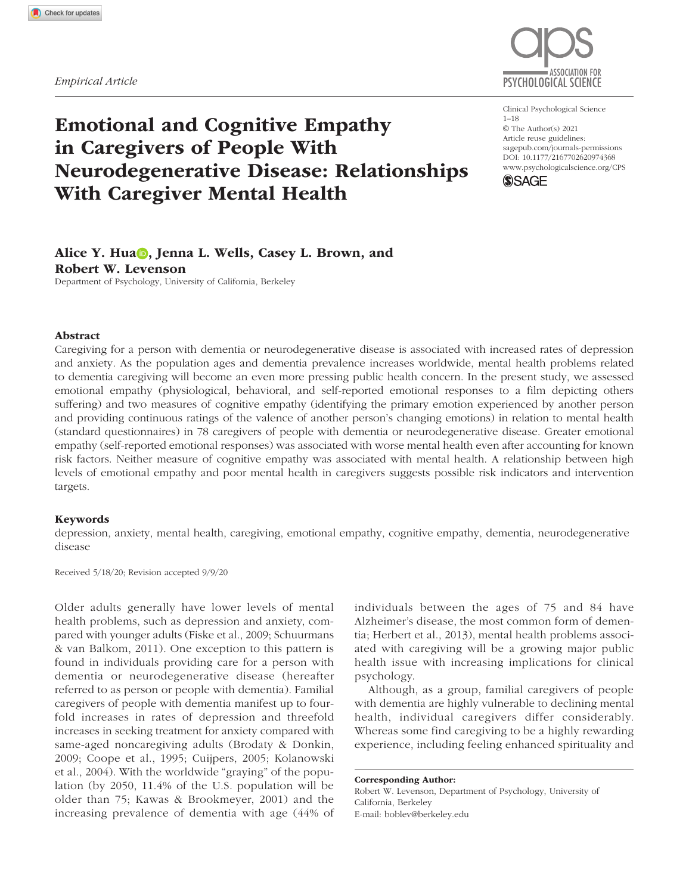

# Emotional and Cognitive Empathy in Caregivers of People With Neurodegenerative Disease: Relationships With Caregiver Mental Health

https://doi.org/10.1177/2167702620974368 DOI: 10.1177/2167702620974368 Clinical Psychological Science 1–18 © The Author(s) 2021 Article reuse guidelines: [sagepub.com/journals-permissions](https://us.sagepub.com/en-us/journals-permissions) [www.psychologicalscience.org/](http://www.psychologicalscience.org/cps)CPS



# Alice Y. Hua , Jenna L. Wells, Casey L. Brown, and Robert W. Levenson

Department of Psychology, University of California, Berkeley

#### Abstract

Caregiving for a person with dementia or neurodegenerative disease is associated with increased rates of depression and anxiety. As the population ages and dementia prevalence increases worldwide, mental health problems related to dementia caregiving will become an even more pressing public health concern. In the present study, we assessed emotional empathy (physiological, behavioral, and self-reported emotional responses to a film depicting others suffering) and two measures of cognitive empathy (identifying the primary emotion experienced by another person and providing continuous ratings of the valence of another person's changing emotions) in relation to mental health (standard questionnaires) in 78 caregivers of people with dementia or neurodegenerative disease. Greater emotional empathy (self-reported emotional responses) was associated with worse mental health even after accounting for known risk factors. Neither measure of cognitive empathy was associated with mental health. A relationship between high levels of emotional empathy and poor mental health in caregivers suggests possible risk indicators and intervention targets.

#### Keywords

depression, anxiety, mental health, caregiving, emotional empathy, cognitive empathy, dementia, neurodegenerative disease

Received 5/18/20; Revision accepted 9/9/20

Older adults generally have lower levels of mental health problems, such as depression and anxiety, compared with younger adults (Fiske et al., 2009; Schuurmans & van Balkom, 2011). One exception to this pattern is found in individuals providing care for a person with dementia or neurodegenerative disease (hereafter referred to as person or people with dementia). Familial caregivers of people with dementia manifest up to fourfold increases in rates of depression and threefold increases in seeking treatment for anxiety compared with same-aged noncaregiving adults (Brodaty & Donkin, 2009; Coope et al., 1995; Cuijpers, 2005; Kolanowski et al., 2004). With the worldwide "graying" of the population (by 2050, 11.4% of the U.S. population will be older than 75; Kawas & Brookmeyer, 2001) and the increasing prevalence of dementia with age (44% of individuals between the ages of 75 and 84 have Alzheimer's disease, the most common form of dementia; Herbert et al., 2013), mental health problems associated with caregiving will be a growing major public health issue with increasing implications for clinical psychology.

Although, as a group, familial caregivers of people with dementia are highly vulnerable to declining mental health, individual caregivers differ considerably. Whereas some find caregiving to be a highly rewarding experience, including feeling enhanced spirituality and

Corresponding Author: Robert W. Levenson, Department of Psychology, University of California, Berkeley E-mail: [boblev@berkeley.edu](mailto:boblev@berkeley.edu)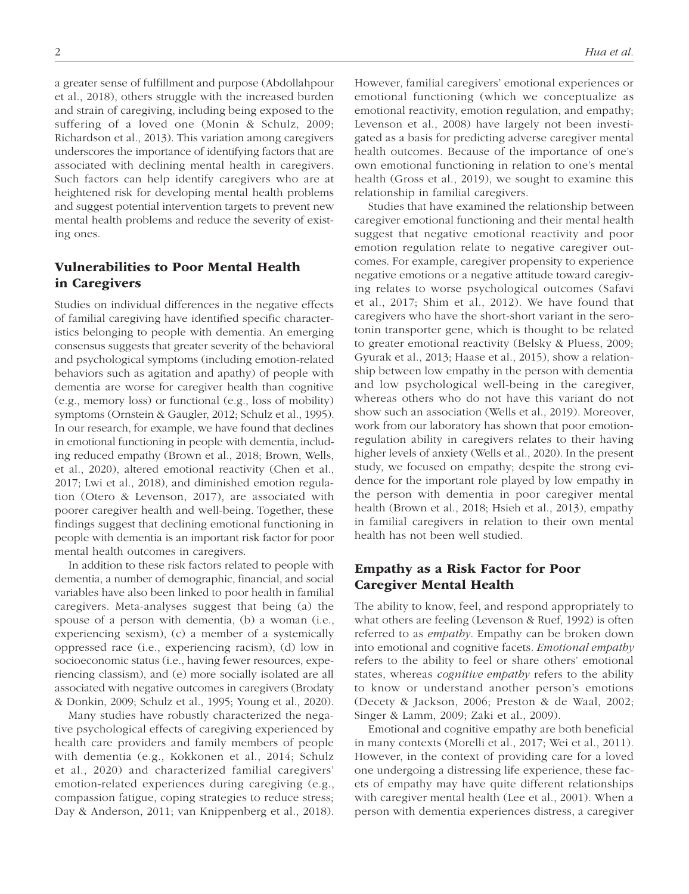a greater sense of fulfillment and purpose (Abdollahpour et al., 2018), others struggle with the increased burden and strain of caregiving, including being exposed to the suffering of a loved one (Monin & Schulz, 2009; Richardson et al., 2013). This variation among caregivers underscores the importance of identifying factors that are associated with declining mental health in caregivers. Such factors can help identify caregivers who are at heightened risk for developing mental health problems and suggest potential intervention targets to prevent new mental health problems and reduce the severity of existing ones.

# Vulnerabilities to Poor Mental Health in Caregivers

Studies on individual differences in the negative effects of familial caregiving have identified specific characteristics belonging to people with dementia. An emerging consensus suggests that greater severity of the behavioral and psychological symptoms (including emotion-related behaviors such as agitation and apathy) of people with dementia are worse for caregiver health than cognitive (e.g., memory loss) or functional (e.g., loss of mobility) symptoms (Ornstein & Gaugler, 2012; Schulz et al., 1995). In our research, for example, we have found that declines in emotional functioning in people with dementia, including reduced empathy (Brown et al., 2018; Brown, Wells, et al., 2020), altered emotional reactivity (Chen et al., 2017; Lwi et al., 2018), and diminished emotion regulation (Otero & Levenson, 2017), are associated with poorer caregiver health and well-being. Together, these findings suggest that declining emotional functioning in people with dementia is an important risk factor for poor mental health outcomes in caregivers.

In addition to these risk factors related to people with dementia, a number of demographic, financial, and social variables have also been linked to poor health in familial caregivers. Meta-analyses suggest that being (a) the spouse of a person with dementia, (b) a woman (i.e., experiencing sexism), (c) a member of a systemically oppressed race (i.e., experiencing racism), (d) low in socioeconomic status (i.e., having fewer resources, experiencing classism), and (e) more socially isolated are all associated with negative outcomes in caregivers (Brodaty & Donkin, 2009; Schulz et al., 1995; Young et al., 2020).

Many studies have robustly characterized the negative psychological effects of caregiving experienced by health care providers and family members of people with dementia (e.g., Kokkonen et al., 2014; Schulz et al., 2020) and characterized familial caregivers' emotion-related experiences during caregiving (e.g., compassion fatigue, coping strategies to reduce stress; Day & Anderson, 2011; van Knippenberg et al., 2018). However, familial caregivers' emotional experiences or emotional functioning (which we conceptualize as emotional reactivity, emotion regulation, and empathy; Levenson et al., 2008) have largely not been investigated as a basis for predicting adverse caregiver mental health outcomes. Because of the importance of one's own emotional functioning in relation to one's mental health (Gross et al., 2019), we sought to examine this relationship in familial caregivers.

Studies that have examined the relationship between caregiver emotional functioning and their mental health suggest that negative emotional reactivity and poor emotion regulation relate to negative caregiver outcomes. For example, caregiver propensity to experience negative emotions or a negative attitude toward caregiving relates to worse psychological outcomes (Safavi et al., 2017; Shim et al., 2012). We have found that caregivers who have the short-short variant in the serotonin transporter gene, which is thought to be related to greater emotional reactivity (Belsky & Pluess, 2009; Gyurak et al., 2013; Haase et al., 2015), show a relationship between low empathy in the person with dementia and low psychological well-being in the caregiver, whereas others who do not have this variant do not show such an association (Wells et al., 2019). Moreover, work from our laboratory has shown that poor emotionregulation ability in caregivers relates to their having higher levels of anxiety (Wells et al., 2020). In the present study, we focused on empathy; despite the strong evidence for the important role played by low empathy in the person with dementia in poor caregiver mental health (Brown et al., 2018; Hsieh et al., 2013), empathy in familial caregivers in relation to their own mental health has not been well studied.

# Empathy as a Risk Factor for Poor Caregiver Mental Health

The ability to know, feel, and respond appropriately to what others are feeling (Levenson & Ruef, 1992) is often referred to as *empathy*. Empathy can be broken down into emotional and cognitive facets. *Emotional empathy* refers to the ability to feel or share others' emotional states, whereas *cognitive empathy* refers to the ability to know or understand another person's emotions (Decety & Jackson, 2006; Preston & de Waal, 2002; Singer & Lamm, 2009; Zaki et al., 2009).

Emotional and cognitive empathy are both beneficial in many contexts (Morelli et al., 2017; Wei et al., 2011). However, in the context of providing care for a loved one undergoing a distressing life experience, these facets of empathy may have quite different relationships with caregiver mental health (Lee et al., 2001). When a person with dementia experiences distress, a caregiver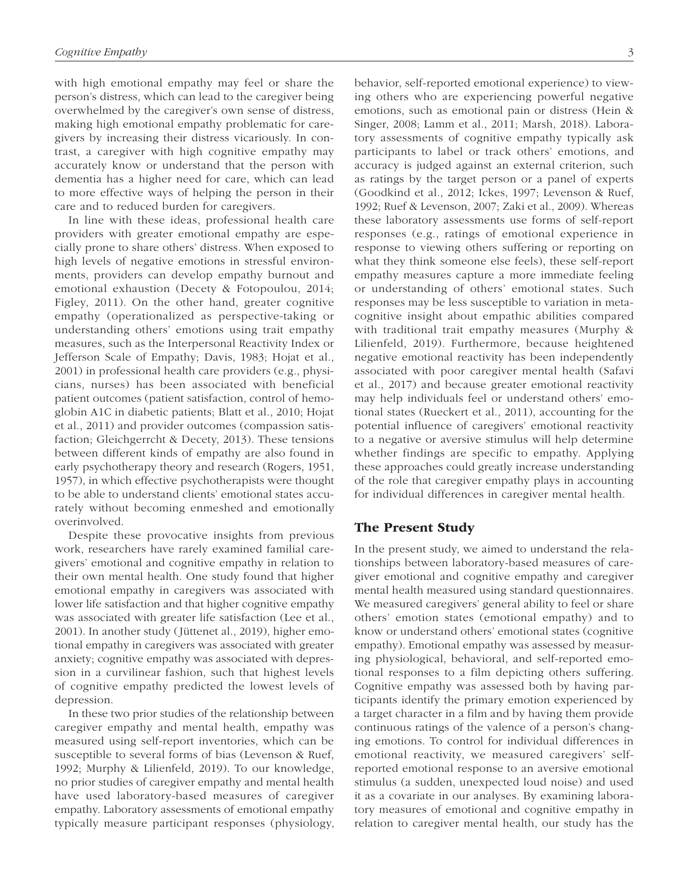with high emotional empathy may feel or share the person's distress, which can lead to the caregiver being overwhelmed by the caregiver's own sense of distress, making high emotional empathy problematic for caregivers by increasing their distress vicariously. In contrast, a caregiver with high cognitive empathy may accurately know or understand that the person with dementia has a higher need for care, which can lead to more effective ways of helping the person in their care and to reduced burden for caregivers.

In line with these ideas, professional health care providers with greater emotional empathy are especially prone to share others' distress. When exposed to high levels of negative emotions in stressful environments, providers can develop empathy burnout and emotional exhaustion (Decety & Fotopoulou, 2014; Figley, 2011). On the other hand, greater cognitive empathy (operationalized as perspective-taking or understanding others' emotions using trait empathy measures, such as the Interpersonal Reactivity Index or Jefferson Scale of Empathy; Davis, 1983; Hojat et al., 2001) in professional health care providers (e.g., physicians, nurses) has been associated with beneficial patient outcomes (patient satisfaction, control of hemoglobin A1C in diabetic patients; Blatt et al., 2010; Hojat et al., 2011) and provider outcomes (compassion satisfaction; Gleichgerrcht & Decety, 2013). These tensions between different kinds of empathy are also found in early psychotherapy theory and research (Rogers, 1951, 1957), in which effective psychotherapists were thought to be able to understand clients' emotional states accurately without becoming enmeshed and emotionally overinvolved.

Despite these provocative insights from previous work, researchers have rarely examined familial caregivers' emotional and cognitive empathy in relation to their own mental health. One study found that higher emotional empathy in caregivers was associated with lower life satisfaction and that higher cognitive empathy was associated with greater life satisfaction (Lee et al., 2001). In another study (Jüttenet al., 2019), higher emotional empathy in caregivers was associated with greater anxiety; cognitive empathy was associated with depression in a curvilinear fashion, such that highest levels of cognitive empathy predicted the lowest levels of depression.

In these two prior studies of the relationship between caregiver empathy and mental health, empathy was measured using self-report inventories, which can be susceptible to several forms of bias (Levenson & Ruef, 1992; Murphy & Lilienfeld, 2019). To our knowledge, no prior studies of caregiver empathy and mental health have used laboratory-based measures of caregiver empathy. Laboratory assessments of emotional empathy typically measure participant responses (physiology, behavior, self-reported emotional experience) to viewing others who are experiencing powerful negative emotions, such as emotional pain or distress (Hein & Singer, 2008; Lamm et al., 2011; Marsh, 2018). Laboratory assessments of cognitive empathy typically ask participants to label or track others' emotions, and accuracy is judged against an external criterion, such as ratings by the target person or a panel of experts (Goodkind et al., 2012; Ickes, 1997; Levenson & Ruef, 1992; Ruef & Levenson, 2007; Zaki et al., 2009). Whereas these laboratory assessments use forms of self-report responses (e.g., ratings of emotional experience in response to viewing others suffering or reporting on what they think someone else feels), these self-report empathy measures capture a more immediate feeling or understanding of others' emotional states. Such responses may be less susceptible to variation in metacognitive insight about empathic abilities compared with traditional trait empathy measures (Murphy & Lilienfeld, 2019). Furthermore, because heightened negative emotional reactivity has been independently associated with poor caregiver mental health (Safavi et al., 2017) and because greater emotional reactivity may help individuals feel or understand others' emotional states (Rueckert et al., 2011), accounting for the potential influence of caregivers' emotional reactivity to a negative or aversive stimulus will help determine whether findings are specific to empathy. Applying these approaches could greatly increase understanding of the role that caregiver empathy plays in accounting for individual differences in caregiver mental health.

# The Present Study

In the present study, we aimed to understand the relationships between laboratory-based measures of caregiver emotional and cognitive empathy and caregiver mental health measured using standard questionnaires. We measured caregivers' general ability to feel or share others' emotion states (emotional empathy) and to know or understand others' emotional states (cognitive empathy). Emotional empathy was assessed by measuring physiological, behavioral, and self-reported emotional responses to a film depicting others suffering. Cognitive empathy was assessed both by having participants identify the primary emotion experienced by a target character in a film and by having them provide continuous ratings of the valence of a person's changing emotions. To control for individual differences in emotional reactivity, we measured caregivers' selfreported emotional response to an aversive emotional stimulus (a sudden, unexpected loud noise) and used it as a covariate in our analyses. By examining laboratory measures of emotional and cognitive empathy in relation to caregiver mental health, our study has the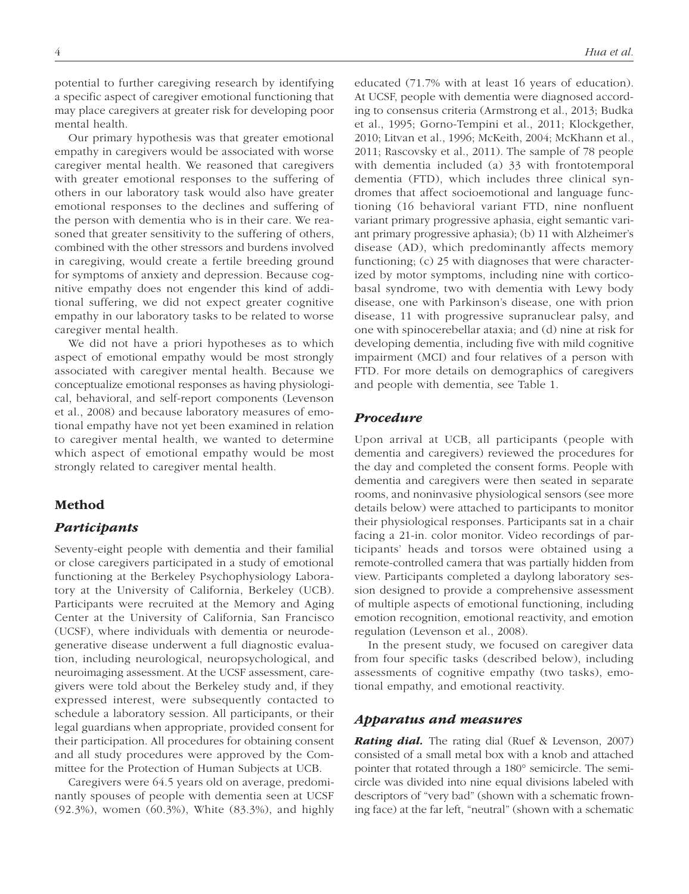potential to further caregiving research by identifying a specific aspect of caregiver emotional functioning that may place caregivers at greater risk for developing poor mental health.

Our primary hypothesis was that greater emotional empathy in caregivers would be associated with worse caregiver mental health. We reasoned that caregivers with greater emotional responses to the suffering of others in our laboratory task would also have greater emotional responses to the declines and suffering of the person with dementia who is in their care. We reasoned that greater sensitivity to the suffering of others, combined with the other stressors and burdens involved in caregiving, would create a fertile breeding ground for symptoms of anxiety and depression. Because cognitive empathy does not engender this kind of additional suffering, we did not expect greater cognitive empathy in our laboratory tasks to be related to worse caregiver mental health.

We did not have a priori hypotheses as to which aspect of emotional empathy would be most strongly associated with caregiver mental health. Because we conceptualize emotional responses as having physiological, behavioral, and self-report components (Levenson et al., 2008) and because laboratory measures of emotional empathy have not yet been examined in relation to caregiver mental health, we wanted to determine which aspect of emotional empathy would be most strongly related to caregiver mental health.

# Method

## *Participants*

Seventy-eight people with dementia and their familial or close caregivers participated in a study of emotional functioning at the Berkeley Psychophysiology Laboratory at the University of California, Berkeley (UCB). Participants were recruited at the Memory and Aging Center at the University of California, San Francisco (UCSF), where individuals with dementia or neurodegenerative disease underwent a full diagnostic evaluation, including neurological, neuropsychological, and neuroimaging assessment. At the UCSF assessment, caregivers were told about the Berkeley study and, if they expressed interest, were subsequently contacted to schedule a laboratory session. All participants, or their legal guardians when appropriate, provided consent for their participation. All procedures for obtaining consent and all study procedures were approved by the Committee for the Protection of Human Subjects at UCB.

Caregivers were 64.5 years old on average, predominantly spouses of people with dementia seen at UCSF (92.3%), women (60.3%), White (83.3%), and highly educated (71.7% with at least 16 years of education). At UCSF, people with dementia were diagnosed according to consensus criteria (Armstrong et al., 2013; Budka et al., 1995; Gorno-Tempini et al., 2011; Klockgether, 2010; Litvan et al., 1996; McKeith, 2004; McKhann et al., 2011; Rascovsky et al., 2011). The sample of 78 people with dementia included (a) 33 with frontotemporal dementia (FTD), which includes three clinical syndromes that affect socioemotional and language functioning (16 behavioral variant FTD, nine nonfluent variant primary progressive aphasia, eight semantic variant primary progressive aphasia); (b) 11 with Alzheimer's disease (AD), which predominantly affects memory functioning; (c) 25 with diagnoses that were characterized by motor symptoms, including nine with corticobasal syndrome, two with dementia with Lewy body disease, one with Parkinson's disease, one with prion disease, 11 with progressive supranuclear palsy, and one with spinocerebellar ataxia; and (d) nine at risk for developing dementia, including five with mild cognitive impairment (MCI) and four relatives of a person with FTD. For more details on demographics of caregivers and people with dementia, see Table 1.

# *Procedure*

Upon arrival at UCB, all participants (people with dementia and caregivers) reviewed the procedures for the day and completed the consent forms. People with dementia and caregivers were then seated in separate rooms, and noninvasive physiological sensors (see more details below) were attached to participants to monitor their physiological responses. Participants sat in a chair facing a 21-in. color monitor. Video recordings of participants' heads and torsos were obtained using a remote-controlled camera that was partially hidden from view. Participants completed a daylong laboratory session designed to provide a comprehensive assessment of multiple aspects of emotional functioning, including emotion recognition, emotional reactivity, and emotion regulation (Levenson et al., 2008).

In the present study, we focused on caregiver data from four specific tasks (described below), including assessments of cognitive empathy (two tasks), emotional empathy, and emotional reactivity.

### *Apparatus and measures*

*Rating dial.* The rating dial (Ruef & Levenson, 2007) consisted of a small metal box with a knob and attached pointer that rotated through a 180° semicircle. The semicircle was divided into nine equal divisions labeled with descriptors of "very bad" (shown with a schematic frowning face) at the far left, "neutral" (shown with a schematic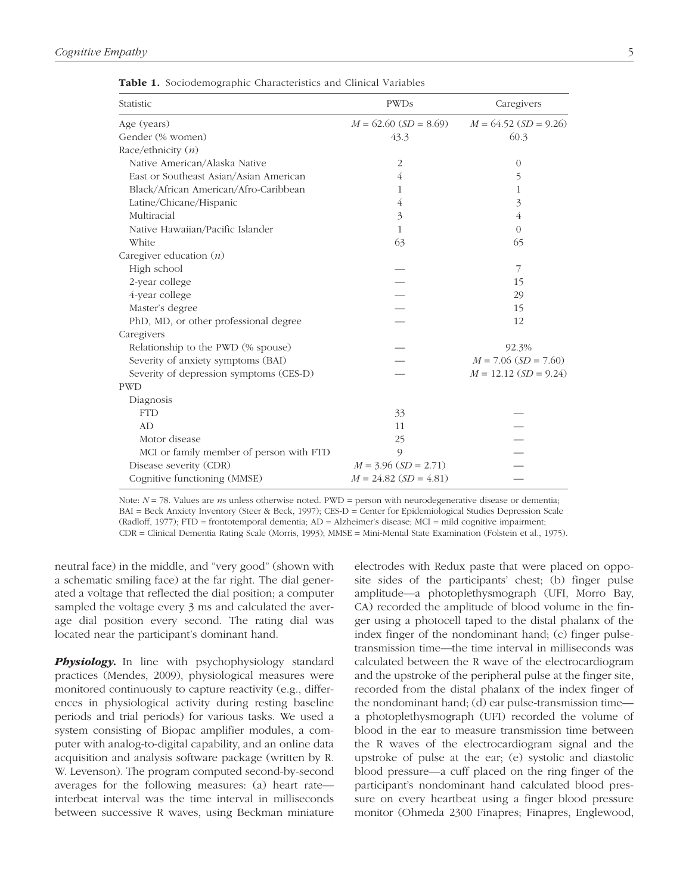| Statistic                               | <b>PWDs</b>             | Caregivers              |  |  |
|-----------------------------------------|-------------------------|-------------------------|--|--|
| Age (years)                             | $M = 62.60$ (SD = 8.69) | $M = 64.52$ (SD = 9.26) |  |  |
| Gender (% women)                        | 43.3                    | 60.3                    |  |  |
| Race/ethnicity $(n)$                    |                         |                         |  |  |
| Native American/Alaska Native           | $\overline{2}$          | $\theta$                |  |  |
| East or Southeast Asian/Asian American  | 4                       | 5                       |  |  |
| Black/African American/Afro-Caribbean   | 1                       | 1                       |  |  |
| Latine/Chicane/Hispanic                 | 4                       | 3                       |  |  |
| Multiracial                             | 3                       | 4                       |  |  |
| Native Hawaiian/Pacific Islander        | 1                       | $\overline{0}$          |  |  |
| White                                   | 63                      | 65                      |  |  |
| Caregiver education $(n)$               |                         |                         |  |  |
| High school                             |                         | 7                       |  |  |
| 2-year college                          |                         | 15                      |  |  |
| 4-year college                          |                         | 29                      |  |  |
| Master's degree                         |                         | 15                      |  |  |
| PhD, MD, or other professional degree   |                         | 12                      |  |  |
| Caregivers                              |                         |                         |  |  |
| Relationship to the PWD (% spouse)      |                         | 92.3%                   |  |  |
| Severity of anxiety symptoms (BAI)      |                         | $M = 7.06$ (SD = 7.60)  |  |  |
| Severity of depression symptoms (CES-D) |                         | $M = 12.12$ (SD = 9.24) |  |  |
| <b>PWD</b>                              |                         |                         |  |  |
| Diagnosis                               |                         |                         |  |  |
| <b>FTD</b>                              | 33                      |                         |  |  |
| AD                                      | 11                      |                         |  |  |
| Motor disease                           | 25                      |                         |  |  |
| MCI or family member of person with FTD | 9                       |                         |  |  |
| Disease severity (CDR)                  | $M = 3.96$ (SD = 2.71)  |                         |  |  |
| Cognitive functioning (MMSE)            | $M = 24.82$ (SD = 4.81) |                         |  |  |

Table 1. Sociodemographic Characteristics and Clinical Variables

Note:  $N = 78$ . Values are *n*s unless otherwise noted. PWD = person with neurodegenerative disease or dementia; BAI = Beck Anxiety Inventory (Steer & Beck, 1997); CES-D = Center for Epidemiological Studies Depression Scale (Radloff, 1977); FTD = frontotemporal dementia; AD = Alzheimer's disease; MCI = mild cognitive impairment; CDR = Clinical Dementia Rating Scale (Morris, 1993); MMSE = Mini-Mental State Examination (Folstein et al., 1975).

neutral face) in the middle, and "very good" (shown with a schematic smiling face) at the far right. The dial generated a voltage that reflected the dial position; a computer sampled the voltage every 3 ms and calculated the average dial position every second. The rating dial was located near the participant's dominant hand.

**Physiology.** In line with psychophysiology standard practices (Mendes, 2009), physiological measures were monitored continuously to capture reactivity (e.g., differences in physiological activity during resting baseline periods and trial periods) for various tasks. We used a system consisting of Biopac amplifier modules, a computer with analog-to-digital capability, and an online data acquisition and analysis software package (written by R. W. Levenson). The program computed second-by-second averages for the following measures: (a) heart rate interbeat interval was the time interval in milliseconds between successive R waves, using Beckman miniature

electrodes with Redux paste that were placed on opposite sides of the participants' chest; (b) finger pulse amplitude—a photoplethysmograph (UFI, Morro Bay, CA) recorded the amplitude of blood volume in the finger using a photocell taped to the distal phalanx of the index finger of the nondominant hand; (c) finger pulsetransmission time—the time interval in milliseconds was calculated between the R wave of the electrocardiogram and the upstroke of the peripheral pulse at the finger site, recorded from the distal phalanx of the index finger of the nondominant hand; (d) ear pulse-transmission time a photoplethysmograph (UFI) recorded the volume of blood in the ear to measure transmission time between the R waves of the electrocardiogram signal and the upstroke of pulse at the ear; (e) systolic and diastolic blood pressure—a cuff placed on the ring finger of the participant's nondominant hand calculated blood pressure on every heartbeat using a finger blood pressure monitor (Ohmeda 2300 Finapres; Finapres, Englewood,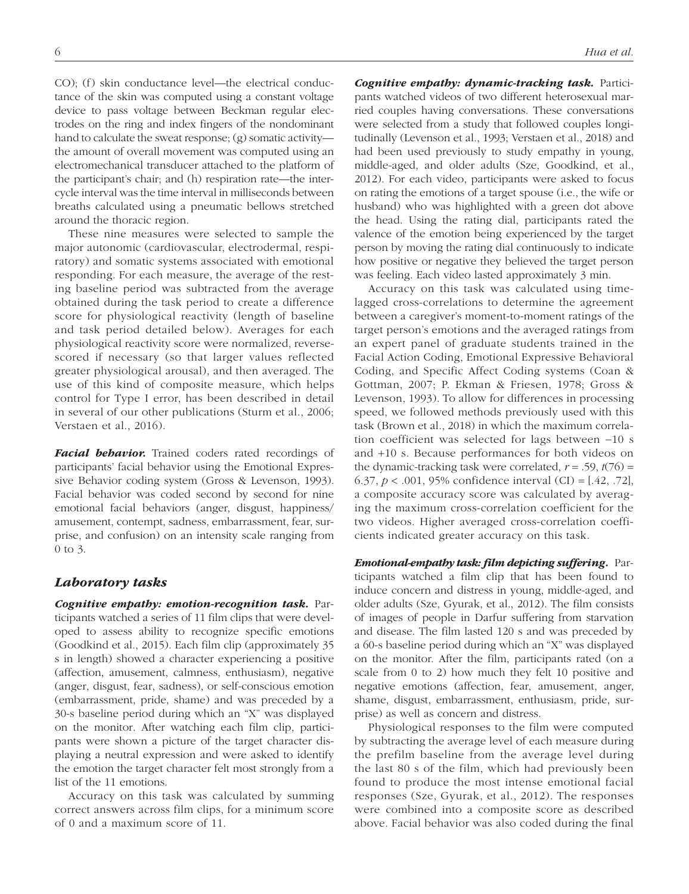CO); (f) skin conductance level—the electrical conductance of the skin was computed using a constant voltage device to pass voltage between Beckman regular electrodes on the ring and index fingers of the nondominant hand to calculate the sweat response; (g) somatic activity the amount of overall movement was computed using an electromechanical transducer attached to the platform of the participant's chair; and (h) respiration rate—the intercycle interval was the time interval in milliseconds between breaths calculated using a pneumatic bellows stretched around the thoracic region.

These nine measures were selected to sample the major autonomic (cardiovascular, electrodermal, respiratory) and somatic systems associated with emotional responding. For each measure, the average of the resting baseline period was subtracted from the average obtained during the task period to create a difference score for physiological reactivity (length of baseline and task period detailed below). Averages for each physiological reactivity score were normalized, reversescored if necessary (so that larger values reflected greater physiological arousal), and then averaged. The use of this kind of composite measure, which helps control for Type I error, has been described in detail in several of our other publications (Sturm et al., 2006; Verstaen et al., 2016).

*Facial behavior.* Trained coders rated recordings of participants' facial behavior using the Emotional Expressive Behavior coding system (Gross & Levenson, 1993). Facial behavior was coded second by second for nine emotional facial behaviors (anger, disgust, happiness/ amusement, contempt, sadness, embarrassment, fear, surprise, and confusion) on an intensity scale ranging from 0 to 3.

## *Laboratory tasks*

*Cognitive empathy: emotion-recognition task.* Participants watched a series of 11 film clips that were developed to assess ability to recognize specific emotions (Goodkind et al., 2015). Each film clip (approximately 35 s in length) showed a character experiencing a positive (affection, amusement, calmness, enthusiasm), negative (anger, disgust, fear, sadness), or self-conscious emotion (embarrassment, pride, shame) and was preceded by a 30-s baseline period during which an "X" was displayed on the monitor. After watching each film clip, participants were shown a picture of the target character displaying a neutral expression and were asked to identify the emotion the target character felt most strongly from a list of the 11 emotions.

Accuracy on this task was calculated by summing correct answers across film clips, for a minimum score of 0 and a maximum score of 11.

*Cognitive empathy: dynamic-tracking task.* Participants watched videos of two different heterosexual married couples having conversations. These conversations were selected from a study that followed couples longitudinally (Levenson et al., 1993; Verstaen et al., 2018) and had been used previously to study empathy in young, middle-aged, and older adults (Sze, Goodkind, et al., 2012). For each video, participants were asked to focus on rating the emotions of a target spouse (i.e., the wife or husband) who was highlighted with a green dot above the head. Using the rating dial, participants rated the valence of the emotion being experienced by the target person by moving the rating dial continuously to indicate how positive or negative they believed the target person was feeling. Each video lasted approximately 3 min.

Accuracy on this task was calculated using timelagged cross-correlations to determine the agreement between a caregiver's moment-to-moment ratings of the target person's emotions and the averaged ratings from an expert panel of graduate students trained in the Facial Action Coding, Emotional Expressive Behavioral Coding, and Specific Affect Coding systems (Coan & Gottman, 2007; P. Ekman & Friesen, 1978; Gross & Levenson, 1993). To allow for differences in processing speed, we followed methods previously used with this task (Brown et al., 2018) in which the maximum correlation coefficient was selected for lags between −10 s and +10 s. Because performances for both videos on the dynamic-tracking task were correlated,  $r = .59$ ,  $t(76) =$ 6.37, *p* < .001, 95% confidence interval (CI) = [.42, .72], a composite accuracy score was calculated by averaging the maximum cross-correlation coefficient for the two videos. Higher averaged cross-correlation coefficients indicated greater accuracy on this task.

*Emotional-empathy task: film depicting suffering.* Participants watched a film clip that has been found to induce concern and distress in young, middle-aged, and older adults (Sze, Gyurak, et al., 2012). The film consists of images of people in Darfur suffering from starvation and disease. The film lasted 120 s and was preceded by a 60-s baseline period during which an "X" was displayed on the monitor. After the film, participants rated (on a scale from 0 to 2) how much they felt 10 positive and negative emotions (affection, fear, amusement, anger, shame, disgust, embarrassment, enthusiasm, pride, surprise) as well as concern and distress.

Physiological responses to the film were computed by subtracting the average level of each measure during the prefilm baseline from the average level during the last 80 s of the film, which had previously been found to produce the most intense emotional facial responses (Sze, Gyurak, et al., 2012). The responses were combined into a composite score as described above. Facial behavior was also coded during the final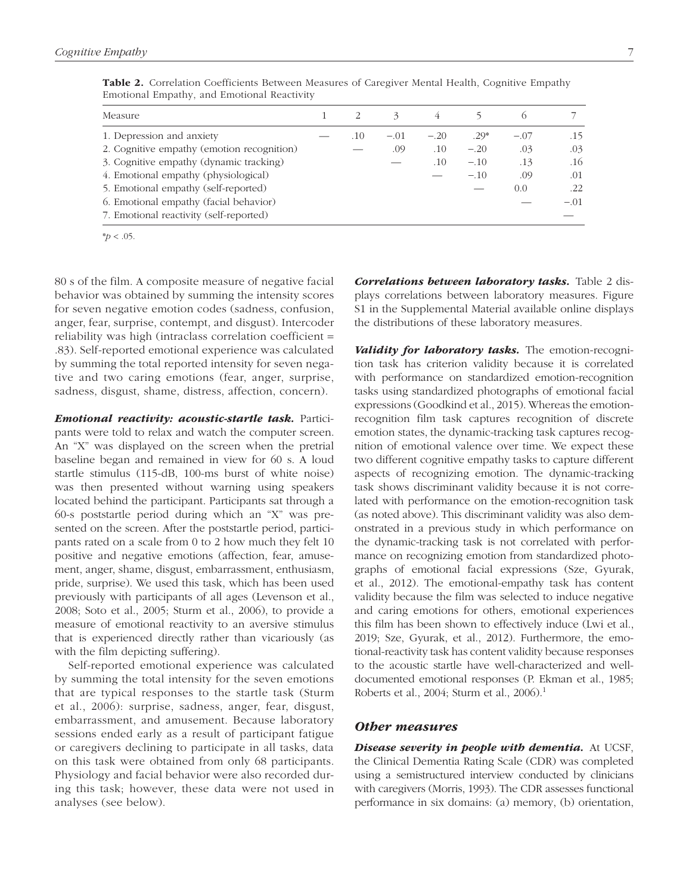| Measure                                    |     |        |        |        |        |        |
|--------------------------------------------|-----|--------|--------|--------|--------|--------|
| 1. Depression and anxiety                  | .10 | $-.01$ | $-.20$ | $.29*$ | $-.07$ | .15    |
| 2. Cognitive empathy (emotion recognition) |     | .09    | .10    | $-.20$ | .03    | .03    |
| 3. Cognitive empathy (dynamic tracking)    |     |        | .10    | $-.10$ | .13    | .16    |
| 4. Emotional empathy (physiological)       |     |        |        | $-.10$ | .09    | .01    |
| 5. Emotional empathy (self-reported)       |     |        |        |        | 0.0    | .22    |
| 6. Emotional empathy (facial behavior)     |     |        |        |        |        | $-.01$ |
| 7. Emotional reactivity (self-reported)    |     |        |        |        |        |        |

Table 2. Correlation Coefficients Between Measures of Caregiver Mental Health, Cognitive Empathy Emotional Empathy, and Emotional Reactivity

\**p* < .05.

80 s of the film. A composite measure of negative facial behavior was obtained by summing the intensity scores for seven negative emotion codes (sadness, confusion, anger, fear, surprise, contempt, and disgust). Intercoder reliability was high (intraclass correlation coefficient = .83). Self-reported emotional experience was calculated by summing the total reported intensity for seven negative and two caring emotions (fear, anger, surprise, sadness, disgust, shame, distress, affection, concern).

*Emotional reactivity: acoustic-startle task.* Participants were told to relax and watch the computer screen. An "X" was displayed on the screen when the pretrial baseline began and remained in view for 60 s. A loud startle stimulus (115-dB, 100-ms burst of white noise) was then presented without warning using speakers located behind the participant. Participants sat through a 60-s poststartle period during which an "X" was presented on the screen. After the poststartle period, participants rated on a scale from 0 to 2 how much they felt 10 positive and negative emotions (affection, fear, amusement, anger, shame, disgust, embarrassment, enthusiasm, pride, surprise). We used this task, which has been used previously with participants of all ages (Levenson et al., 2008; Soto et al., 2005; Sturm et al., 2006), to provide a measure of emotional reactivity to an aversive stimulus that is experienced directly rather than vicariously (as with the film depicting suffering).

Self-reported emotional experience was calculated by summing the total intensity for the seven emotions that are typical responses to the startle task (Sturm et al., 2006): surprise, sadness, anger, fear, disgust, embarrassment, and amusement. Because laboratory sessions ended early as a result of participant fatigue or caregivers declining to participate in all tasks, data on this task were obtained from only 68 participants. Physiology and facial behavior were also recorded during this task; however, these data were not used in analyses (see below).

*Correlations between laboratory tasks.* Table 2 displays correlations between laboratory measures. Figure S1 in the Supplemental Material available online displays the distributions of these laboratory measures.

*Validity for laboratory tasks.* The emotion-recognition task has criterion validity because it is correlated with performance on standardized emotion-recognition tasks using standardized photographs of emotional facial expressions (Goodkind et al., 2015). Whereas the emotionrecognition film task captures recognition of discrete emotion states, the dynamic-tracking task captures recognition of emotional valence over time. We expect these two different cognitive empathy tasks to capture different aspects of recognizing emotion. The dynamic-tracking task shows discriminant validity because it is not correlated with performance on the emotion-recognition task (as noted above). This discriminant validity was also demonstrated in a previous study in which performance on the dynamic-tracking task is not correlated with performance on recognizing emotion from standardized photographs of emotional facial expressions (Sze, Gyurak, et al., 2012). The emotional-empathy task has content validity because the film was selected to induce negative and caring emotions for others, emotional experiences this film has been shown to effectively induce (Lwi et al., 2019; Sze, Gyurak, et al., 2012). Furthermore, the emotional-reactivity task has content validity because responses to the acoustic startle have well-characterized and welldocumented emotional responses (P. Ekman et al., 1985; Roberts et al., 2004; Sturm et al., 2006).1

## *Other measures*

*Disease severity in people with dementia.* At UCSF, the Clinical Dementia Rating Scale (CDR) was completed using a semistructured interview conducted by clinicians with caregivers (Morris, 1993). The CDR assesses functional performance in six domains: (a) memory, (b) orientation,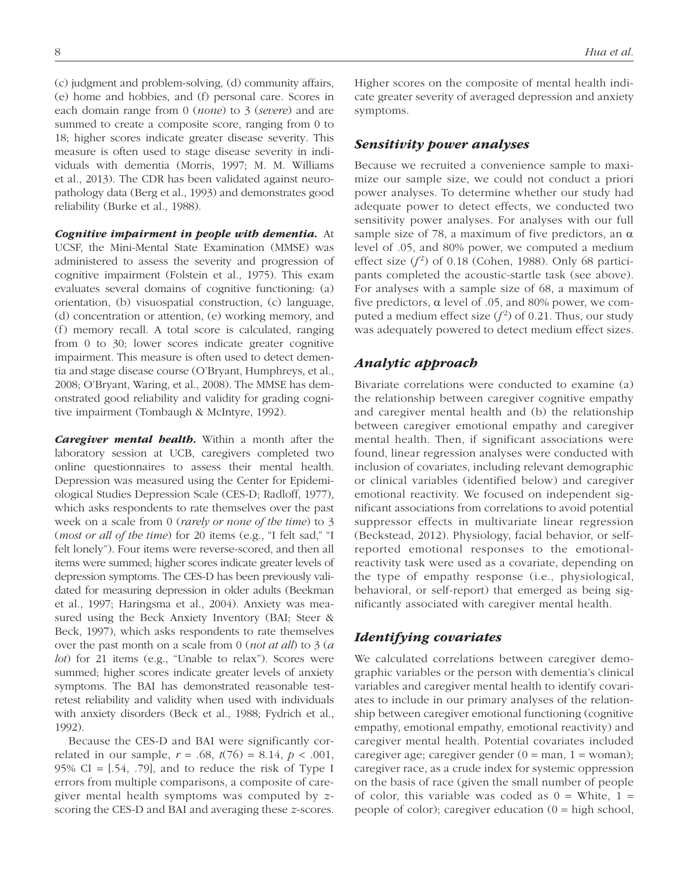(c) judgment and problem-solving, (d) community affairs, (e) home and hobbies, and (f) personal care. Scores in each domain range from 0 (*none*) to 3 (*severe*) and are summed to create a composite score, ranging from 0 to 18; higher scores indicate greater disease severity. This measure is often used to stage disease severity in individuals with dementia (Morris, 1997; M. M. Williams et al., 2013). The CDR has been validated against neuropathology data (Berg et al., 1993) and demonstrates good reliability (Burke et al., 1988).

*Cognitive impairment in people with dementia.* At UCSF, the Mini-Mental State Examination (MMSE) was administered to assess the severity and progression of cognitive impairment (Folstein et al., 1975). This exam evaluates several domains of cognitive functioning: (a) orientation, (b) visuospatial construction, (c) language, (d) concentration or attention, (e) working memory, and (f) memory recall. A total score is calculated, ranging from 0 to 30; lower scores indicate greater cognitive impairment. This measure is often used to detect dementia and stage disease course (O'Bryant, Humphreys, et al., 2008; O'Bryant, Waring, et al., 2008). The MMSE has demonstrated good reliability and validity for grading cognitive impairment (Tombaugh & McIntyre, 1992).

*Caregiver mental health.* Within a month after the laboratory session at UCB, caregivers completed two online questionnaires to assess their mental health. Depression was measured using the Center for Epidemiological Studies Depression Scale (CES-D; Radloff, 1977), which asks respondents to rate themselves over the past week on a scale from 0 (*rarely or none of the time*) to 3 (*most or all of the time*) for 20 items (e.g., "I felt sad," "I felt lonely"). Four items were reverse-scored, and then all items were summed; higher scores indicate greater levels of depression symptoms. The CES-D has been previously validated for measuring depression in older adults (Beekman et al., 1997; Haringsma et al., 2004). Anxiety was measured using the Beck Anxiety Inventory (BAI; Steer & Beck, 1997), which asks respondents to rate themselves over the past month on a scale from 0 (*not at all*) to 3 (*a lot*) for 21 items (e.g., "Unable to relax"). Scores were summed; higher scores indicate greater levels of anxiety symptoms. The BAI has demonstrated reasonable testretest reliability and validity when used with individuals with anxiety disorders (Beck et al., 1988; Fydrich et al., 1992).

Because the CES-D and BAI were significantly correlated in our sample,  $r = .68$ ,  $t(76) = 8.14$ ,  $p < .001$ , 95% CI =  $[0.54, 0.79]$ , and to reduce the risk of Type I errors from multiple comparisons, a composite of caregiver mental health symptoms was computed by *z*scoring the CES-D and BAI and averaging these *z*-scores. Higher scores on the composite of mental health indicate greater severity of averaged depression and anxiety symptoms.

#### *Sensitivity power analyses*

Because we recruited a convenience sample to maximize our sample size, we could not conduct a priori power analyses. To determine whether our study had adequate power to detect effects, we conducted two sensitivity power analyses. For analyses with our full sample size of 78, a maximum of five predictors, an  $\alpha$ level of .05, and 80% power, we computed a medium effect size  $(f^2)$  of 0.18 (Cohen, 1988). Only 68 participants completed the acoustic-startle task (see above). For analyses with a sample size of 68, a maximum of five predictors, α level of .05, and 80% power, we computed a medium effect size  $(f^2)$  of 0.21. Thus, our study was adequately powered to detect medium effect sizes.

# *Analytic approach*

Bivariate correlations were conducted to examine (a) the relationship between caregiver cognitive empathy and caregiver mental health and (b) the relationship between caregiver emotional empathy and caregiver mental health. Then, if significant associations were found, linear regression analyses were conducted with inclusion of covariates, including relevant demographic or clinical variables (identified below) and caregiver emotional reactivity. We focused on independent significant associations from correlations to avoid potential suppressor effects in multivariate linear regression (Beckstead, 2012). Physiology, facial behavior, or selfreported emotional responses to the emotionalreactivity task were used as a covariate, depending on the type of empathy response (i.e., physiological, behavioral, or self-report) that emerged as being significantly associated with caregiver mental health.

# *Identifying covariates*

We calculated correlations between caregiver demographic variables or the person with dementia's clinical variables and caregiver mental health to identify covariates to include in our primary analyses of the relationship between caregiver emotional functioning (cognitive empathy, emotional empathy, emotional reactivity) and caregiver mental health. Potential covariates included caregiver age; caregiver gender  $(0 = man, 1 = woman);$ caregiver race, as a crude index for systemic oppression on the basis of race (given the small number of people of color, this variable was coded as  $0 =$  White,  $1 =$ people of color); caregiver education  $(0 = \text{high school})$ ,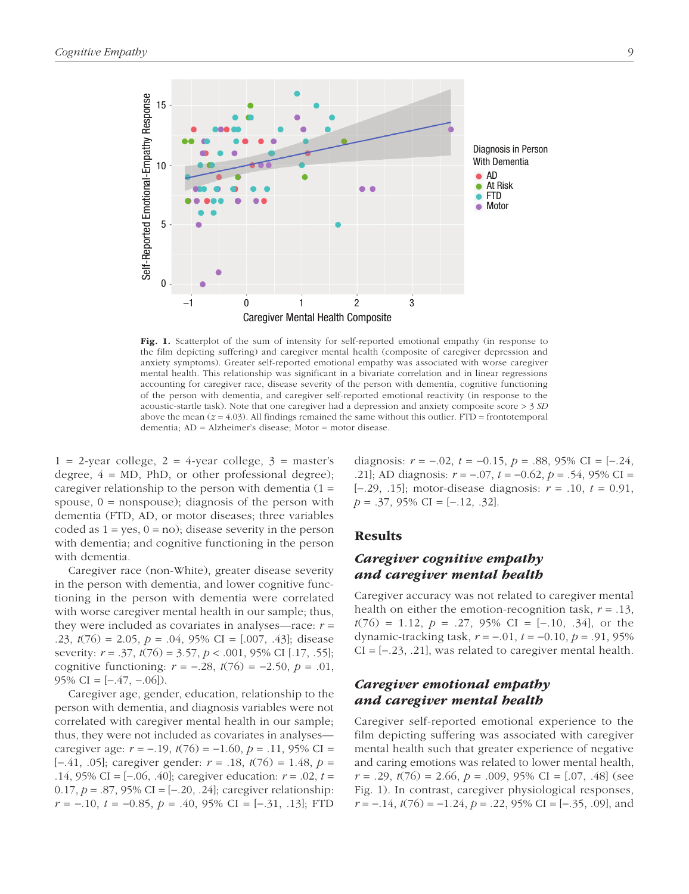

Fig. 1. Scatterplot of the sum of intensity for self-reported emotional empathy (in response to the film depicting suffering) and caregiver mental health (composite of caregiver depression and anxiety symptoms). Greater self-reported emotional empathy was associated with worse caregiver mental health. This relationship was significant in a bivariate correlation and in linear regressions accounting for caregiver race, disease severity of the person with dementia, cognitive functioning of the person with dementia, and caregiver self-reported emotional reactivity (in response to the acoustic-startle task). Note that one caregiver had a depression and anxiety composite score > 3 *SD* above the mean  $(z = 4.03)$ . All findings remained the same without this outlier. FTD = frontotemporal dementia; AD = Alzheimer's disease; Motor = motor disease.

 $1 = 2$ -year college,  $2 = 4$ -year college,  $3 =$  master's degree,  $4 = MD$ , PhD, or other professional degree); caregiver relationship to the person with dementia  $(1 =$ spouse,  $0 =$  nonspouse); diagnosis of the person with dementia (FTD, AD, or motor diseases; three variables coded as  $1 = yes$ ,  $0 = no$ ); disease severity in the person with dementia; and cognitive functioning in the person with dementia.

Caregiver race (non-White), greater disease severity in the person with dementia, and lower cognitive functioning in the person with dementia were correlated with worse caregiver mental health in our sample; thus, they were included as covariates in analyses—race: *r* = .23, *t*(76) = 2.05, *p* = .04, 95% CI = [.007, .43]; disease severity: *r* = .37, *t*(76) = 3.57, *p* < .001, 95% CI [.17, .55]; cognitive functioning: *r* = −.28, *t*(76) = −2.50, *p* = .01, 95% CI =  $[-.47, -.06]$ ).

Caregiver age, gender, education, relationship to the person with dementia, and diagnosis variables were not correlated with caregiver mental health in our sample; thus, they were not included as covariates in analyses caregiver age: *r* = −.19, *t*(76) = −1.60, *p* = .11, 95% CI = [−.41, .05]; caregiver gender: *r* = .18, *t*(76) = 1.48, *p* = .14, 95% CI = [−.06, .40]; caregiver education: *r* = .02, *t* = 0.17, *p* = .87, 95% CI = [−.20, .24]; caregiver relationship: *r* = −.10, *t* = −0.85, *p* = .40, 95% CI = [−.31, .13]; FTD diagnosis: *r* = −.02, *t* = −0.15, *p* = .88, 95% CI = [−.24, .21]; AD diagnosis: *r* = −.07, *t* = −0.62, *p* = .54, 95% CI = [−.29, .15]; motor-disease diagnosis: *r* = .10, *t* = 0.91, *p* = .37, 95% CI = [−.12, .32].

#### Results

# *Caregiver cognitive empathy and caregiver mental health*

Caregiver accuracy was not related to caregiver mental health on either the emotion-recognition task, *r* = .13, *t*(76) = 1.12, *p* = .27, 95% CI = [−.10, .34], or the dynamic-tracking task, *r* = −.01, *t* = −0.10, *p* = .91, 95%  $CI = [-23, 21]$ , was related to caregiver mental health.

# *Caregiver emotional empathy and caregiver mental health*

Caregiver self-reported emotional experience to the film depicting suffering was associated with caregiver mental health such that greater experience of negative and caring emotions was related to lower mental health, *r* = .29, *t*(76) = 2.66, *p* = .009, 95% CI = [.07, .48] (see Fig. 1). In contrast, caregiver physiological responses, *r* = −.14, *t*(76) = −1.24, *p* = .22, 95% CI = [−.35, .09], and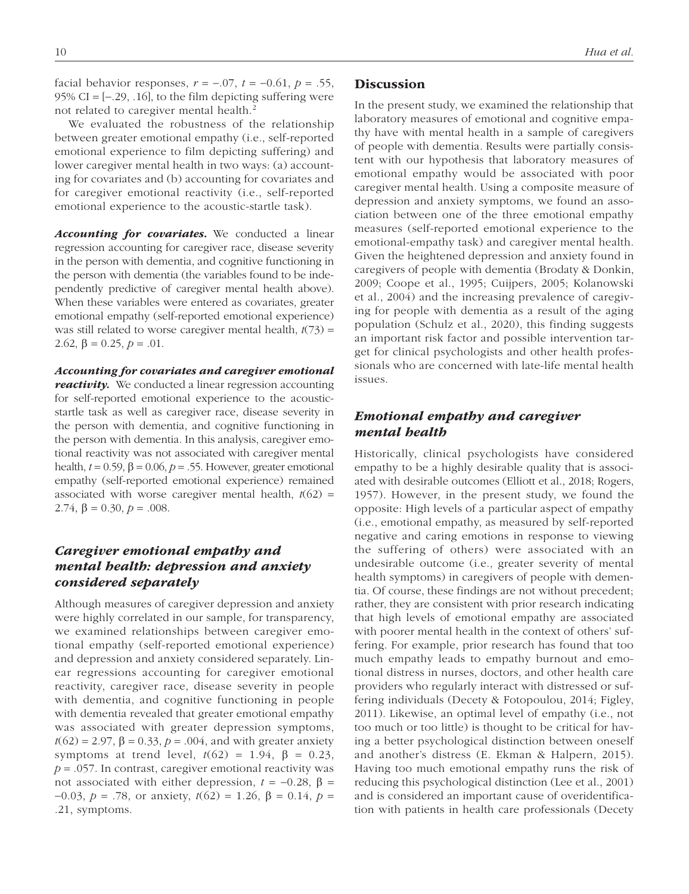facial behavior responses,  $r = -.07$ ,  $t = -0.61$ ,  $p = .55$ , 95% CI =  $[-.29, .16]$ , to the film depicting suffering were not related to caregiver mental health.<sup>2</sup>

We evaluated the robustness of the relationship between greater emotional empathy (i.e., self-reported emotional experience to film depicting suffering) and lower caregiver mental health in two ways: (a) accounting for covariates and (b) accounting for covariates and for caregiver emotional reactivity (i.e., self-reported emotional experience to the acoustic-startle task).

Accounting for covariates. We conducted a linear regression accounting for caregiver race, disease severity in the person with dementia, and cognitive functioning in the person with dementia (the variables found to be independently predictive of caregiver mental health above). When these variables were entered as covariates, greater emotional empathy (self-reported emotional experience) was still related to worse caregiver mental health,  $t(73)$  = 2.62,  $\beta = 0.25$ ,  $p = .01$ .

*Accounting for covariates and caregiver emotional* 

*reactivity.* We conducted a linear regression accounting for self-reported emotional experience to the acousticstartle task as well as caregiver race, disease severity in the person with dementia, and cognitive functioning in the person with dementia. In this analysis, caregiver emotional reactivity was not associated with caregiver mental health,  $t = 0.59$ ,  $β = 0.06$ ,  $p = .55$ . However, greater emotional empathy (self-reported emotional experience) remained associated with worse caregiver mental health,  $t(62)$  = 2.74,  $\beta = 0.30, p = .008$ .

# *Caregiver emotional empathy and mental health: depression and anxiety considered separately*

Although measures of caregiver depression and anxiety were highly correlated in our sample, for transparency, we examined relationships between caregiver emotional empathy (self-reported emotional experience) and depression and anxiety considered separately. Linear regressions accounting for caregiver emotional reactivity, caregiver race, disease severity in people with dementia, and cognitive functioning in people with dementia revealed that greater emotional empathy was associated with greater depression symptoms,  $t(62) = 2.97$ ,  $\beta = 0.33$ ,  $p = .004$ , and with greater anxiety symptoms at trend level,  $t(62) = 1.94$ ,  $\beta = 0.23$ ,  $p = 0.057$ . In contrast, caregiver emotional reactivity was not associated with either depression,  $t = −0.28$ ,  $β =$ −0.03, *p* = .78, or anxiety, *t*(62) = 1.26, β = 0.14, *p* = .21, symptoms.

# **Discussion**

In the present study, we examined the relationship that laboratory measures of emotional and cognitive empathy have with mental health in a sample of caregivers of people with dementia. Results were partially consistent with our hypothesis that laboratory measures of emotional empathy would be associated with poor caregiver mental health. Using a composite measure of depression and anxiety symptoms, we found an association between one of the three emotional empathy measures (self-reported emotional experience to the emotional-empathy task) and caregiver mental health. Given the heightened depression and anxiety found in caregivers of people with dementia (Brodaty & Donkin, 2009; Coope et al., 1995; Cuijpers, 2005; Kolanowski et al., 2004) and the increasing prevalence of caregiving for people with dementia as a result of the aging population (Schulz et al., 2020), this finding suggests an important risk factor and possible intervention target for clinical psychologists and other health professionals who are concerned with late-life mental health issues.

# *Emotional empathy and caregiver mental health*

Historically, clinical psychologists have considered empathy to be a highly desirable quality that is associated with desirable outcomes (Elliott et al., 2018; Rogers, 1957). However, in the present study, we found the opposite: High levels of a particular aspect of empathy (i.e., emotional empathy, as measured by self-reported negative and caring emotions in response to viewing the suffering of others) were associated with an undesirable outcome (i.e., greater severity of mental health symptoms) in caregivers of people with dementia. Of course, these findings are not without precedent; rather, they are consistent with prior research indicating that high levels of emotional empathy are associated with poorer mental health in the context of others' suffering. For example, prior research has found that too much empathy leads to empathy burnout and emotional distress in nurses, doctors, and other health care providers who regularly interact with distressed or suffering individuals (Decety & Fotopoulou, 2014; Figley, 2011). Likewise, an optimal level of empathy (i.e., not too much or too little) is thought to be critical for having a better psychological distinction between oneself and another's distress (E. Ekman & Halpern, 2015). Having too much emotional empathy runs the risk of reducing this psychological distinction (Lee et al., 2001) and is considered an important cause of overidentification with patients in health care professionals (Decety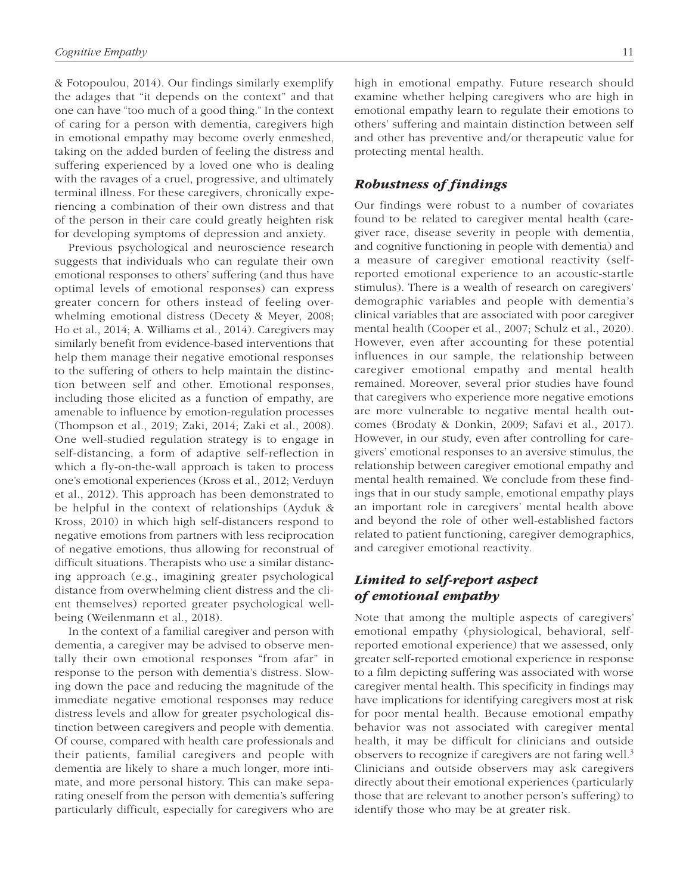& Fotopoulou, 2014). Our findings similarly exemplify the adages that "it depends on the context" and that one can have "too much of a good thing." In the context of caring for a person with dementia, caregivers high in emotional empathy may become overly enmeshed, taking on the added burden of feeling the distress and suffering experienced by a loved one who is dealing with the ravages of a cruel, progressive, and ultimately terminal illness. For these caregivers, chronically experiencing a combination of their own distress and that of the person in their care could greatly heighten risk for developing symptoms of depression and anxiety.

Previous psychological and neuroscience research suggests that individuals who can regulate their own emotional responses to others' suffering (and thus have optimal levels of emotional responses) can express greater concern for others instead of feeling overwhelming emotional distress (Decety & Meyer, 2008; Ho et al., 2014; A. Williams et al., 2014). Caregivers may similarly benefit from evidence-based interventions that help them manage their negative emotional responses to the suffering of others to help maintain the distinction between self and other. Emotional responses, including those elicited as a function of empathy, are amenable to influence by emotion-regulation processes (Thompson et al., 2019; Zaki, 2014; Zaki et al., 2008). One well-studied regulation strategy is to engage in self-distancing, a form of adaptive self-reflection in which a fly-on-the-wall approach is taken to process one's emotional experiences (Kross et al., 2012; Verduyn et al., 2012). This approach has been demonstrated to be helpful in the context of relationships (Ayduk & Kross, 2010) in which high self-distancers respond to negative emotions from partners with less reciprocation of negative emotions, thus allowing for reconstrual of difficult situations. Therapists who use a similar distancing approach (e.g., imagining greater psychological distance from overwhelming client distress and the client themselves) reported greater psychological wellbeing (Weilenmann et al., 2018).

In the context of a familial caregiver and person with dementia, a caregiver may be advised to observe mentally their own emotional responses "from afar" in response to the person with dementia's distress. Slowing down the pace and reducing the magnitude of the immediate negative emotional responses may reduce distress levels and allow for greater psychological distinction between caregivers and people with dementia. Of course, compared with health care professionals and their patients, familial caregivers and people with dementia are likely to share a much longer, more intimate, and more personal history. This can make separating oneself from the person with dementia's suffering particularly difficult, especially for caregivers who are high in emotional empathy. Future research should examine whether helping caregivers who are high in emotional empathy learn to regulate their emotions to others' suffering and maintain distinction between self and other has preventive and/or therapeutic value for protecting mental health.

# *Robustness of findings*

Our findings were robust to a number of covariates found to be related to caregiver mental health (caregiver race, disease severity in people with dementia, and cognitive functioning in people with dementia) and a measure of caregiver emotional reactivity (selfreported emotional experience to an acoustic-startle stimulus). There is a wealth of research on caregivers' demographic variables and people with dementia's clinical variables that are associated with poor caregiver mental health (Cooper et al., 2007; Schulz et al., 2020). However, even after accounting for these potential influences in our sample, the relationship between caregiver emotional empathy and mental health remained. Moreover, several prior studies have found that caregivers who experience more negative emotions are more vulnerable to negative mental health outcomes (Brodaty & Donkin, 2009; Safavi et al., 2017). However, in our study, even after controlling for caregivers' emotional responses to an aversive stimulus, the relationship between caregiver emotional empathy and mental health remained. We conclude from these findings that in our study sample, emotional empathy plays an important role in caregivers' mental health above and beyond the role of other well-established factors related to patient functioning, caregiver demographics, and caregiver emotional reactivity.

# *Limited to self-report aspect of emotional empathy*

Note that among the multiple aspects of caregivers' emotional empathy (physiological, behavioral, selfreported emotional experience) that we assessed, only greater self-reported emotional experience in response to a film depicting suffering was associated with worse caregiver mental health. This specificity in findings may have implications for identifying caregivers most at risk for poor mental health. Because emotional empathy behavior was not associated with caregiver mental health, it may be difficult for clinicians and outside observers to recognize if caregivers are not faring well.<sup>3</sup> Clinicians and outside observers may ask caregivers directly about their emotional experiences (particularly those that are relevant to another person's suffering) to identify those who may be at greater risk.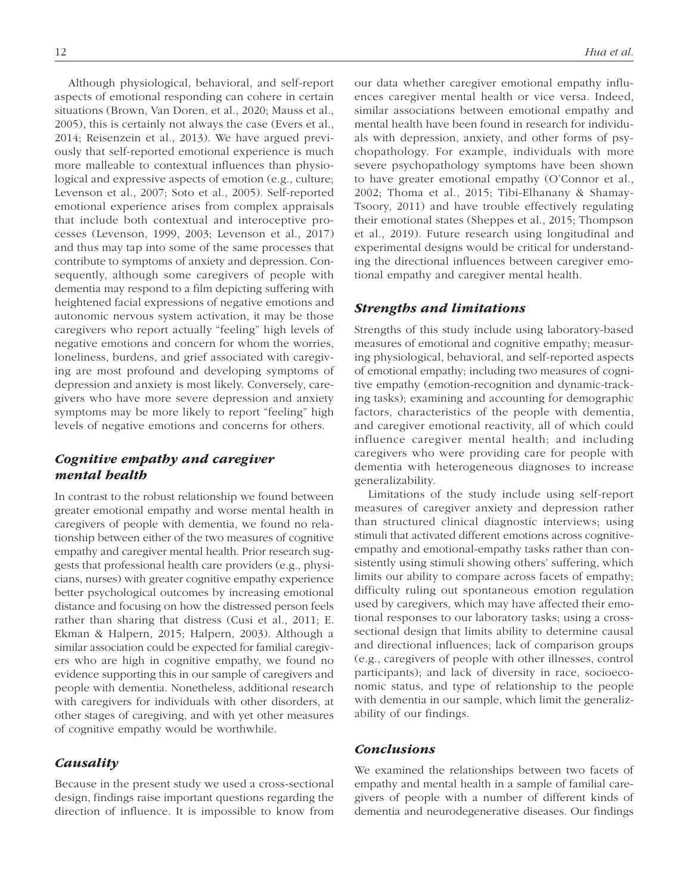Although physiological, behavioral, and self-report aspects of emotional responding can cohere in certain situations (Brown, Van Doren, et al., 2020; Mauss et al., 2005), this is certainly not always the case (Evers et al., 2014; Reisenzein et al., 2013). We have argued previously that self-reported emotional experience is much more malleable to contextual influences than physiological and expressive aspects of emotion (e.g., culture; Levenson et al., 2007; Soto et al., 2005). Self-reported emotional experience arises from complex appraisals that include both contextual and interoceptive processes (Levenson, 1999, 2003; Levenson et al., 2017) and thus may tap into some of the same processes that contribute to symptoms of anxiety and depression. Consequently, although some caregivers of people with dementia may respond to a film depicting suffering with heightened facial expressions of negative emotions and autonomic nervous system activation, it may be those caregivers who report actually "feeling" high levels of negative emotions and concern for whom the worries, loneliness, burdens, and grief associated with caregiving are most profound and developing symptoms of depression and anxiety is most likely. Conversely, caregivers who have more severe depression and anxiety symptoms may be more likely to report "feeling" high levels of negative emotions and concerns for others.

# *Cognitive empathy and caregiver mental health*

In contrast to the robust relationship we found between greater emotional empathy and worse mental health in caregivers of people with dementia, we found no relationship between either of the two measures of cognitive empathy and caregiver mental health. Prior research suggests that professional health care providers (e.g., physicians, nurses) with greater cognitive empathy experience better psychological outcomes by increasing emotional distance and focusing on how the distressed person feels rather than sharing that distress (Cusi et al., 2011; E. Ekman & Halpern, 2015; Halpern, 2003). Although a similar association could be expected for familial caregivers who are high in cognitive empathy, we found no evidence supporting this in our sample of caregivers and people with dementia. Nonetheless, additional research with caregivers for individuals with other disorders, at other stages of caregiving, and with yet other measures of cognitive empathy would be worthwhile.

# *Causality*

Because in the present study we used a cross-sectional design, findings raise important questions regarding the direction of influence. It is impossible to know from our data whether caregiver emotional empathy influences caregiver mental health or vice versa. Indeed, similar associations between emotional empathy and mental health have been found in research for individuals with depression, anxiety, and other forms of psychopathology. For example, individuals with more severe psychopathology symptoms have been shown to have greater emotional empathy (O'Connor et al., 2002; Thoma et al., 2015; Tibi-Elhanany & Shamay-Tsoory, 2011) and have trouble effectively regulating their emotional states (Sheppes et al., 2015; Thompson et al., 2019). Future research using longitudinal and experimental designs would be critical for understanding the directional influences between caregiver emotional empathy and caregiver mental health.

# *Strengths and limitations*

Strengths of this study include using laboratory-based measures of emotional and cognitive empathy; measuring physiological, behavioral, and self-reported aspects of emotional empathy; including two measures of cognitive empathy (emotion-recognition and dynamic-tracking tasks); examining and accounting for demographic factors, characteristics of the people with dementia, and caregiver emotional reactivity, all of which could influence caregiver mental health; and including caregivers who were providing care for people with dementia with heterogeneous diagnoses to increase generalizability.

Limitations of the study include using self-report measures of caregiver anxiety and depression rather than structured clinical diagnostic interviews; using stimuli that activated different emotions across cognitiveempathy and emotional-empathy tasks rather than consistently using stimuli showing others' suffering, which limits our ability to compare across facets of empathy; difficulty ruling out spontaneous emotion regulation used by caregivers, which may have affected their emotional responses to our laboratory tasks; using a crosssectional design that limits ability to determine causal and directional influences; lack of comparison groups (e.g., caregivers of people with other illnesses, control participants); and lack of diversity in race, socioeconomic status, and type of relationship to the people with dementia in our sample, which limit the generalizability of our findings.

# *Conclusions*

We examined the relationships between two facets of empathy and mental health in a sample of familial caregivers of people with a number of different kinds of dementia and neurodegenerative diseases. Our findings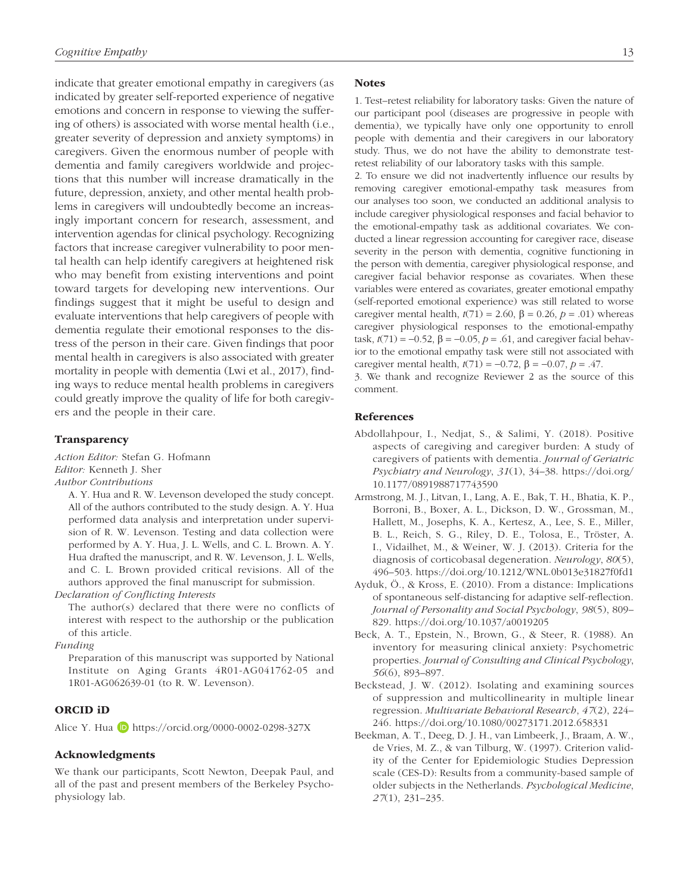indicate that greater emotional empathy in caregivers (as indicated by greater self-reported experience of negative emotions and concern in response to viewing the suffering of others) is associated with worse mental health (i.e., greater severity of depression and anxiety symptoms) in caregivers. Given the enormous number of people with dementia and family caregivers worldwide and projections that this number will increase dramatically in the future, depression, anxiety, and other mental health problems in caregivers will undoubtedly become an increasingly important concern for research, assessment, and intervention agendas for clinical psychology. Recognizing factors that increase caregiver vulnerability to poor mental health can help identify caregivers at heightened risk who may benefit from existing interventions and point toward targets for developing new interventions. Our findings suggest that it might be useful to design and evaluate interventions that help caregivers of people with dementia regulate their emotional responses to the distress of the person in their care. Given findings that poor mental health in caregivers is also associated with greater mortality in people with dementia (Lwi et al., 2017), finding ways to reduce mental health problems in caregivers could greatly improve the quality of life for both caregivers and the people in their care.

#### **Transparency**

*Action Editor:* Stefan G. Hofmann *Editor:* Kenneth J. Sher *Author Contributions*

A. Y. Hua and R. W. Levenson developed the study concept. All of the authors contributed to the study design. A. Y. Hua performed data analysis and interpretation under supervision of R. W. Levenson. Testing and data collection were performed by A. Y. Hua, J. L. Wells, and C. L. Brown. A. Y. Hua drafted the manuscript, and R. W. Levenson, J. L. Wells, and C. L. Brown provided critical revisions. All of the authors approved the final manuscript for submission.

*Declaration of Conflicting Interests*

The author(s) declared that there were no conflicts of interest with respect to the authorship or the publication of this article.

*Funding*

Preparation of this manuscript was supported by National Institute on Aging Grants 4R01-AG041762-05 and 1R01-AG062639-01 (to R. W. Levenson).

# ORCID iD

Alice Y. Hua **D** <https://orcid.org/0000-0002-0298-327X>

# Acknowledgments

We thank our participants, Scott Newton, Deepak Paul, and all of the past and present members of the Berkeley Psychophysiology lab.

#### **Notes**

1. Test–retest reliability for laboratory tasks: Given the nature of our participant pool (diseases are progressive in people with dementia), we typically have only one opportunity to enroll people with dementia and their caregivers in our laboratory study. Thus, we do not have the ability to demonstrate testretest reliability of our laboratory tasks with this sample.

2. To ensure we did not inadvertently influence our results by removing caregiver emotional-empathy task measures from our analyses too soon, we conducted an additional analysis to include caregiver physiological responses and facial behavior to the emotional-empathy task as additional covariates. We conducted a linear regression accounting for caregiver race, disease severity in the person with dementia, cognitive functioning in the person with dementia, caregiver physiological response, and caregiver facial behavior response as covariates. When these variables were entered as covariates, greater emotional empathy (self-reported emotional experience) was still related to worse caregiver mental health,  $t(71) = 2.60$ ,  $\beta = 0.26$ ,  $p = .01$ ) whereas caregiver physiological responses to the emotional-empathy task,  $$ ior to the emotional empathy task were still not associated with caregiver mental health,  $t(71) = -0.72$ ,  $β = -0.07$ ,  $p = .47$ .

3. We thank and recognize Reviewer 2 as the source of this comment.

### References

- Abdollahpour, I., Nedjat, S., & Salimi, Y. (2018). Positive aspects of caregiving and caregiver burden: A study of caregivers of patients with dementia. *Journal of Geriatric Psychiatry and Neurology*, *31*(1), 34–38. [https://doi.org/](https://doi.org/10.1177/0891988717743590) [10.1177/0891988717743590](https://doi.org/10.1177/0891988717743590)
- Armstrong, M. J., Litvan, I., Lang, A. E., Bak, T. H., Bhatia, K. P., Borroni, B., Boxer, A. L., Dickson, D. W., Grossman, M., Hallett, M., Josephs, K. A., Kertesz, A., Lee, S. E., Miller, B. L., Reich, S. G., Riley, D. E., Tolosa, E., Tröster, A. I., Vidailhet, M., & Weiner, W. J. (2013). Criteria for the diagnosis of corticobasal degeneration. *Neurology*, *80*(5), 496–503.<https://doi.org/10.1212/WNL.0b013e31827f0fd1>
- Ayduk, Ö., & Kross, E. (2010). From a distance: Implications of spontaneous self-distancing for adaptive self-reflection. *Journal of Personality and Social Psychology*, *98*(5), 809– 829.<https://doi.org/10.1037/a0019205>
- Beck, A. T., Epstein, N., Brown, G., & Steer, R. (1988). An inventory for measuring clinical anxiety: Psychometric properties. *Journal of Consulting and Clinical Psychology*, *56*(6), 893–897.
- Beckstead, J. W. (2012). Isolating and examining sources of suppression and multicollinearity in multiple linear regression. *Multivariate Behavioral Research*, *47*(2), 224– 246.<https://doi.org/10.1080/00273171.2012.658331>
- Beekman, A. T., Deeg, D. J. H., van Limbeerk, J., Braam, A. W., de Vries, M. Z., & van Tilburg, W. (1997). Criterion validity of the Center for Epidemiologic Studies Depression scale (CES-D): Results from a community-based sample of older subjects in the Netherlands. *Psychological Medicine*, *27*(1), 231–235.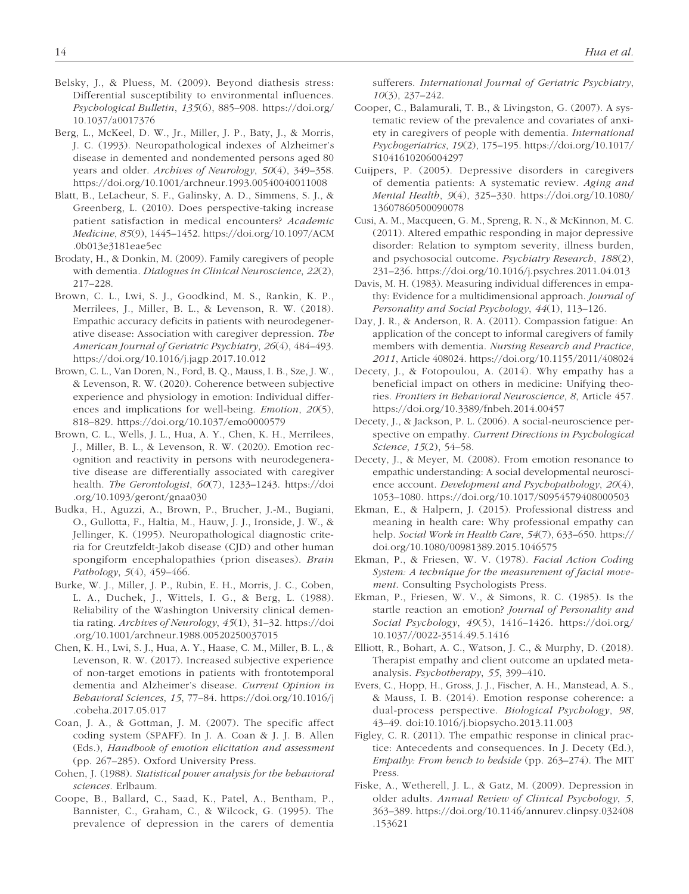- Belsky, J., & Pluess, M. (2009). Beyond diathesis stress: Differential susceptibility to environmental influences. *Psychological Bulletin*, *135*(6), 885–908. [https://doi.org/](https://doi.org/10.1037/a0017376) [10.1037/a0017376](https://doi.org/10.1037/a0017376)
- Berg, L., McKeel, D. W., Jr., Miller, J. P., Baty, J., & Morris, J. C. (1993). Neuropathological indexes of Alzheimer's disease in demented and nondemented persons aged 80 years and older. *Archives of Neurology*, *50*(4), 349–358. <https://doi.org/10.1001/archneur.1993.00540040011008>
- Blatt, B., LeLacheur, S. F., Galinsky, A. D., Simmens, S. J., & Greenberg, L. (2010). Does perspective-taking increase patient satisfaction in medical encounters? *Academic Medicine*, *85*(9), 1445–1452. [https://doi.org/10.1097/ACM](https://doi.org/10.1097/ACM.0b013e3181eae5ec) [.0b013e3181eae5ec](https://doi.org/10.1097/ACM.0b013e3181eae5ec)
- Brodaty, H., & Donkin, M. (2009). Family caregivers of people with dementia. *Dialogues in Clinical Neuroscience*, *22*(2), 217–228.
- Brown, C. L., Lwi, S. J., Goodkind, M. S., Rankin, K. P., Merrilees, J., Miller, B. L., & Levenson, R. W. (2018). Empathic accuracy deficits in patients with neurodegenerative disease: Association with caregiver depression. *The American Journal of Geriatric Psychiatry*, *26*(4), 484–493. <https://doi.org/10.1016/j.jagp.2017.10.012>
- Brown, C. L., Van Doren, N., Ford, B. Q., Mauss, I. B., Sze, J. W., & Levenson, R. W. (2020). Coherence between subjective experience and physiology in emotion: Individual differences and implications for well-being. *Emotion*, *20*(5), 818–829. <https://doi.org/10.1037/emo0000579>
- Brown, C. L., Wells, J. L., Hua, A. Y., Chen, K. H., Merrilees, J., Miller, B. L., & Levenson, R. W. (2020). Emotion recognition and reactivity in persons with neurodegenerative disease are differentially associated with caregiver health. *The Gerontologist*, *60*(7), 1233–1243. [https://doi](https://doi.org/10.1093/geront/gnaa030) [.org/10.1093/geront/gnaa030](https://doi.org/10.1093/geront/gnaa030)
- Budka, H., Aguzzi, A., Brown, P., Brucher, J.-M., Bugiani, O., Gullotta, F., Haltia, M., Hauw, J. J., Ironside, J. W., & Jellinger, K. (1995). Neuropathological diagnostic criteria for Creutzfeldt-Jakob disease (CJD) and other human spongiform encephalopathies (prion diseases). *Brain Pathology*, *5*(4), 459–466.
- Burke, W. J., Miller, J. P., Rubin, E. H., Morris, J. C., Coben, L. A., Duchek, J., Wittels, I. G., & Berg, L. (1988). Reliability of the Washington University clinical dementia rating. *Archives of Neurology*, *45*(1), 31–32. [https://doi](https://doi.org/10.1001/archneur.1988.00520250037015) [.org/10.1001/archneur.1988.00520250037015](https://doi.org/10.1001/archneur.1988.00520250037015)
- Chen, K. H., Lwi, S. J., Hua, A. Y., Haase, C. M., Miller, B. L., & Levenson, R. W. (2017). Increased subjective experience of non-target emotions in patients with frontotemporal dementia and Alzheimer's disease. *Current Opinion in Behavioral Sciences*, *15*, 77–84. [https://doi.org/10.1016/j](https://doi.org/10.1016/j.cobeha.2017.05.017) [.cobeha.2017.05.017](https://doi.org/10.1016/j.cobeha.2017.05.017)
- Coan, J. A., & Gottman, J. M. (2007). The specific affect coding system (SPAFF). In J. A. Coan & J. J. B. Allen (Eds.), *Handbook of emotion elicitation and assessment* (pp. 267–285). Oxford University Press.
- Cohen, J. (1988). *Statistical power analysis for the behavioral sciences*. Erlbaum.
- Coope, B., Ballard, C., Saad, K., Patel, A., Bentham, P., Bannister, C., Graham, C., & Wilcock, G. (1995). The prevalence of depression in the carers of dementia

sufferers. *International Journal of Geriatric Psychiatry*, *10*(3), 237–242.

- Cooper, C., Balamurali, T. B., & Livingston, G. (2007). A systematic review of the prevalence and covariates of anxiety in caregivers of people with dementia. *International Psychogeriatrics*, *19*(2), 175–195. [https://doi.org/10.1017/](https://doi.org/10.1017/S1041610206004297) [S1041610206004297](https://doi.org/10.1017/S1041610206004297)
- Cuijpers, P. (2005). Depressive disorders in caregivers of dementia patients: A systematic review. *Aging and Mental Health*, *9*(4), 325–330. [https://doi.org/10.1080/](https://doi.org/10.1080/13607860500090078) [13607860500090078](https://doi.org/10.1080/13607860500090078)
- Cusi, A. M., Macqueen, G. M., Spreng, R. N., & McKinnon, M. C. (2011). Altered empathic responding in major depressive disorder: Relation to symptom severity, illness burden, and psychosocial outcome. *Psychiatry Research*, *188*(2), 231–236. <https://doi.org/10.1016/j.psychres.2011.04.013>
- Davis, M. H. (1983). Measuring individual differences in empathy: Evidence for a multidimensional approach. *Journal of Personality and Social Psychology*, *44*(1), 113–126.
- Day, J. R., & Anderson, R. A. (2011). Compassion fatigue: An application of the concept to informal caregivers of family members with dementia. *Nursing Research and Practice*, *2011*, Article 408024.<https://doi.org/10.1155/2011/408024>
- Decety, J., & Fotopoulou, A. (2014). Why empathy has a beneficial impact on others in medicine: Unifying theories. *Frontiers in Behavioral Neuroscience*, *8*, Article 457. <https://doi.org/10.3389/fnbeh.2014.00457>
- Decety, J., & Jackson, P. L. (2006). A social-neuroscience perspective on empathy. *Current Directions in Psychological Science*, *15*(2), 54–58.
- Decety, J., & Meyer, M. (2008). From emotion resonance to empathic understanding: A social developmental neuroscience account. *Development and Psychopathology*, *20*(4), 1053–1080.<https://doi.org/10.1017/S0954579408000503>
- Ekman, E., & Halpern, J. (2015). Professional distress and meaning in health care: Why professional empathy can help. *Social Work in Health Care*, *54*(7), 633–650. [https://](https://doi.org/10.1080/00981389.2015.1046575) [doi.org/10.1080/00981389.2015.1046575](https://doi.org/10.1080/00981389.2015.1046575)
- Ekman, P., & Friesen, W. V. (1978). *Facial Action Coding System: A technique for the measurement of facial movement*. Consulting Psychologists Press.
- Ekman, P., Friesen, W. V., & Simons, R. C. (1985). Is the startle reaction an emotion? *Journal of Personality and Social Psychology*, *49*(5), 1416–1426. [https://doi.org/](https://doi.org/10.1037//0022-3514.49.5.1416) [10.1037//0022-3514.49.5.1416](https://doi.org/10.1037//0022-3514.49.5.1416)
- Elliott, R., Bohart, A. C., Watson, J. C., & Murphy, D. (2018). Therapist empathy and client outcome an updated metaanalysis. *Psychotherapy*, *55*, 399–410.
- Evers, C., Hopp, H., Gross, J. J., Fischer, A. H., Manstead, A. S., & Mauss, I. B. (2014). Emotion response coherence: a dual-process perspective. *Biological Psychology*, *98*, 43–49. doi:10.1016/j.biopsycho.2013.11.003
- Figley, C. R. (2011). The empathic response in clinical practice: Antecedents and consequences. In J. Decety (Ed.), *Empathy: From bench to bedside* (pp. 263–274). The MIT Press.
- Fiske, A., Wetherell, J. L., & Gatz, M. (2009). Depression in older adults. *Annual Review of Clinical Psychology*, *5*, 363–389. [https://doi.org/10.1146/annurev.clinpsy.032408](https://doi.org/10.1146/annurev.clinpsy.032408.153621) [.153621](https://doi.org/10.1146/annurev.clinpsy.032408.153621)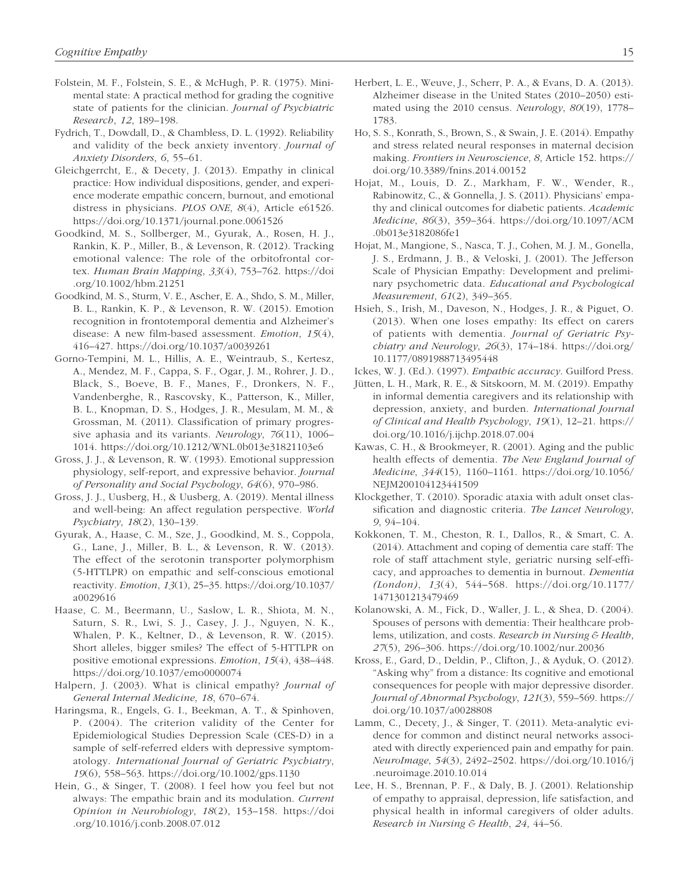- Folstein, M. F., Folstein, S. E., & McHugh, P. R. (1975). Minimental state: A practical method for grading the cognitive state of patients for the clinician. *Journal of Psychiatric Research*, *12*, 189–198.
- Fydrich, T., Dowdall, D., & Chambless, D. L. (1992). Reliability and validity of the beck anxiety inventory. *Journal of Anxiety Disorders*, *6*, 55–61.
- Gleichgerrcht, E., & Decety, J. (2013). Empathy in clinical practice: How individual dispositions, gender, and experience moderate empathic concern, burnout, and emotional distress in physicians. *PLOS ONE*, *8*(4), Article e61526. <https://doi.org/10.1371/journal.pone.0061526>
- Goodkind, M. S., Sollberger, M., Gyurak, A., Rosen, H. J., Rankin, K. P., Miller, B., & Levenson, R. (2012). Tracking emotional valence: The role of the orbitofrontal cortex. *Human Brain Mapping*, *33*(4), 753–762. [https://doi](https://doi.org/10.1002/hbm.21251) [.org/10.1002/hbm.21251](https://doi.org/10.1002/hbm.21251)
- Goodkind, M. S., Sturm, V. E., Ascher, E. A., Shdo, S. M., Miller, B. L., Rankin, K. P., & Levenson, R. W. (2015). Emotion recognition in frontotemporal dementia and Alzheimer's disease: A new film-based assessment. *Emotion*, *15*(4), 416–427. <https://doi.org/10.1037/a0039261>
- Gorno-Tempini, M. L., Hillis, A. E., Weintraub, S., Kertesz, A., Mendez, M. F., Cappa, S. F., Ogar, J. M., Rohrer, J. D., Black, S., Boeve, B. F., Manes, F., Dronkers, N. F., Vandenberghe, R., Rascovsky, K., Patterson, K., Miller, B. L., Knopman, D. S., Hodges, J. R., Mesulam, M. M., & Grossman, M. (2011). Classification of primary progressive aphasia and its variants. *Neurology*, *76*(11), 1006– 1014.<https://doi.org/10.1212/WNL.0b013e31821103e6>
- Gross, J. J., & Levenson, R. W. (1993). Emotional suppression physiology, self-report, and expressive behavior. *Journal of Personality and Social Psychology*, *64*(6), 970–986.
- Gross, J. J., Uusberg, H., & Uusberg, A. (2019). Mental illness and well-being: An affect regulation perspective. *World Psychiatry*, *18*(2), 130–139.
- Gyurak, A., Haase, C. M., Sze, J., Goodkind, M. S., Coppola, G., Lane, J., Miller, B. L., & Levenson, R. W. (2013). The effect of the serotonin transporter polymorphism (5-HTTLPR) on empathic and self-conscious emotional reactivity. *Emotion*, *13*(1), 25–35. [https://doi.org/10.1037/](https://doi.org/10.1037/a0029616) [a0029616](https://doi.org/10.1037/a0029616)
- Haase, C. M., Beermann, U., Saslow, L. R., Shiota, M. N., Saturn, S. R., Lwi, S. J., Casey, J. J., Nguyen, N. K., Whalen, P. K., Keltner, D., & Levenson, R. W. (2015). Short alleles, bigger smiles? The effect of 5-HTTLPR on positive emotional expressions. *Emotion*, *15*(4), 438–448. <https://doi.org/10.1037/emo0000074>
- Halpern, J. (2003). What is clinical empathy? *Journal of General Internal Medicine*, *18*, 670–674.
- Haringsma, R., Engels, G. I., Beekman, A. T., & Spinhoven, P. (2004). The criterion validity of the Center for Epidemiological Studies Depression Scale (CES-D) in a sample of self-referred elders with depressive symptomatology. *International Journal of Geriatric Psychiatry*, *19*(6), 558–563. <https://doi.org/10.1002/gps.1130>
- Hein, G., & Singer, T. (2008). I feel how you feel but not always: The empathic brain and its modulation. *Current Opinion in Neurobiology*, *18*(2), 153–158. [https://doi](https://doi.org/10.1016/j.conb.2008.07.012) [.org/10.1016/j.conb.2008.07.012](https://doi.org/10.1016/j.conb.2008.07.012)
- Herbert, L. E., Weuve, J., Scherr, P. A., & Evans, D. A. (2013). Alzheimer disease in the United States (2010–2050) estimated using the 2010 census. *Neurology*, *80*(19), 1778– 1783.
- Ho, S. S., Konrath, S., Brown, S., & Swain, J. E. (2014). Empathy and stress related neural responses in maternal decision making. *Frontiers in Neuroscience*, *8*, Article 152. [https://](https://doi.org/10.3389/fnins.2014.00152) [doi.org/10.3389/fnins.2014.00152](https://doi.org/10.3389/fnins.2014.00152)
- Hojat, M., Louis, D. Z., Markham, F. W., Wender, R., Rabinowitz, C., & Gonnella, J. S. (2011). Physicians' empathy and clinical outcomes for diabetic patients. *Academic Medicine*, *86*(3), 359–364. [https://doi.org/10.1097/ACM](https://doi.org/10.1097/ACM.0b013e3182086fe1) [.0b013e3182086fe1](https://doi.org/10.1097/ACM.0b013e3182086fe1)
- Hojat, M., Mangione, S., Nasca, T. J., Cohen, M. J. M., Gonella, J. S., Erdmann, J. B., & Veloski, J. (2001). The Jefferson Scale of Physician Empathy: Development and preliminary psychometric data. *Educational and Psychological Measurement*, *61*(2), 349–365.
- Hsieh, S., Irish, M., Daveson, N., Hodges, J. R., & Piguet, O. (2013). When one loses empathy: Its effect on carers of patients with dementia. *Journal of Geriatric Psychiatry and Neurology*, *26*(3), 174–184. [https://doi.org/](https://doi.org/10.1177/0891988713495448) [10.1177/0891988713495448](https://doi.org/10.1177/0891988713495448)
- Ickes, W. J. (Ed.). (1997). *Empathic accuracy*. Guilford Press.
- Jütten, L. H., Mark, R. E., & Sitskoorn, M. M. (2019). Empathy in informal dementia caregivers and its relationship with depression, anxiety, and burden. *International Journal of Clinical and Health Psychology*, *19*(1), 12–21. [https://](https://doi.org/10.1016/j.ijchp.2018.07.004) [doi.org/10.1016/j.ijchp.2018.07.004](https://doi.org/10.1016/j.ijchp.2018.07.004)
- Kawas, C. H., & Brookmeyer, R. (2001). Aging and the public health effects of dementia. *The New England Journal of Medicine*, *344*(15), 1160–1161. [https://doi.org/10.1056/](https://doi.org/10.1056/NEJM200104123441509) [NEJM200104123441509](https://doi.org/10.1056/NEJM200104123441509)
- Klockgether, T. (2010). Sporadic ataxia with adult onset classification and diagnostic criteria. *The Lancet Neurology*, *9*, 94–104.
- Kokkonen, T. M., Cheston, R. I., Dallos, R., & Smart, C. A. (2014). Attachment and coping of dementia care staff: The role of staff attachment style, geriatric nursing self-efficacy, and approaches to dementia in burnout. *Dementia (London)*, *13*(4), 544–568. [https://doi.org/10.1177/](https://doi.org/10.1177/1471301213479469) [1471301213479469](https://doi.org/10.1177/1471301213479469)
- Kolanowski, A. M., Fick, D., Waller, J. L., & Shea, D. (2004). Spouses of persons with dementia: Their healthcare problems, utilization, and costs. *Research in Nursing & Health*, *27*(5), 296–306.<https://doi.org/10.1002/nur.20036>
- Kross, E., Gard, D., Deldin, P., Clifton, J., & Ayduk, O. (2012). "Asking why" from a distance: Its cognitive and emotional consequences for people with major depressive disorder. *Journal of Abnormal Psychology*, *121*(3), 559–569. [https://](https://doi.org/10.1037/a0028808) [doi.org/10.1037/a0028808](https://doi.org/10.1037/a0028808)
- Lamm, C., Decety, J., & Singer, T. (2011). Meta-analytic evidence for common and distinct neural networks associated with directly experienced pain and empathy for pain. *NeuroImage*, *54*(3), 2492–2502. [https://doi.org/10.1016/j](https://doi.org/10.1016/j.neuroimage.2010.10.014) [.neuroimage.2010.10.014](https://doi.org/10.1016/j.neuroimage.2010.10.014)
- Lee, H. S., Brennan, P. F., & Daly, B. J. (2001). Relationship of empathy to appraisal, depression, life satisfaction, and physical health in informal caregivers of older adults. *Research in Nursing & Health*, *24*, 44–56.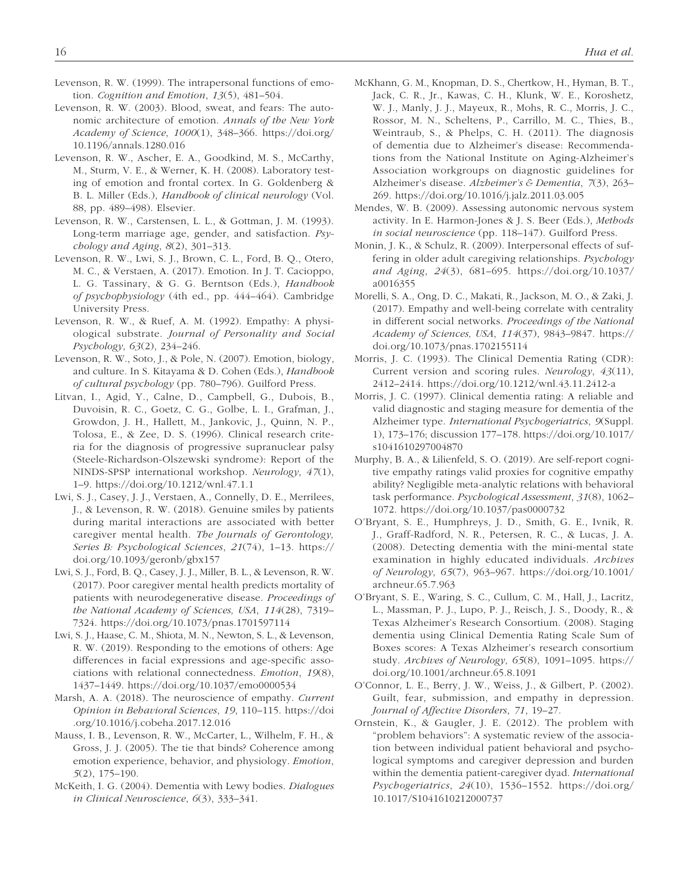- Levenson, R. W. (1999). The intrapersonal functions of emotion. *Cognition and Emotion*, *13*(5), 481–504.
- Levenson, R. W. (2003). Blood, sweat, and fears: The autonomic architecture of emotion. *Annals of the New York Academy of Science*, *1000*(1), 348–366. [https://doi.org/](https://doi.org/10.1196/annals.1280.016) [10.1196/annals.1280.016](https://doi.org/10.1196/annals.1280.016)
- Levenson, R. W., Ascher, E. A., Goodkind, M. S., McCarthy, M., Sturm, V. E., & Werner, K. H. (2008). Laboratory testing of emotion and frontal cortex. In G. Goldenberg & B. L. Miller (Eds.), *Handbook of clinical neurology* (Vol. 88, pp. 489–498). Elsevier.
- Levenson, R. W., Carstensen, L. L., & Gottman, J. M. (1993). Long-term marriage age, gender, and satisfaction. *Psychology and Aging*, *8*(2), 301–313.
- Levenson, R. W., Lwi, S. J., Brown, C. L., Ford, B. Q., Otero, M. C., & Verstaen, A. (2017). Emotion. In J. T. Cacioppo, L. G. Tassinary, & G. G. Berntson (Eds.), *Handbook of psychophysiology* (4th ed., pp. 444–464). Cambridge University Press.
- Levenson, R. W., & Ruef, A. M. (1992). Empathy: A physiological substrate. *Journal of Personality and Social Psychology*, *63*(2), 234–246.
- Levenson, R. W., Soto, J., & Pole, N. (2007). Emotion, biology, and culture. In S. Kitayama & D. Cohen (Eds.), *Handbook of cultural psychology* (pp. 780–796). Guilford Press.
- Litvan, I., Agid, Y., Calne, D., Campbell, G., Dubois, B., Duvoisin, R. C., Goetz, C. G., Golbe, L. I., Grafman, J., Growdon, J. H., Hallett, M., Jankovic, J., Quinn, N. P., Tolosa, E., & Zee, D. S. (1996). Clinical research criteria for the diagnosis of progressive supranuclear palsy (Steele-Richardson-Olszewski syndrome): Report of the NINDS-SPSP international workshop. *Neurology*, *47*(1), 1–9. <https://doi.org/10.1212/wnl.47.1.1>
- Lwi, S. J., Casey, J. J., Verstaen, A., Connelly, D. E., Merrilees, J., & Levenson, R. W. (2018). Genuine smiles by patients during marital interactions are associated with better caregiver mental health. *The Journals of Gerontology, Series B: Psychological Sciences*, *21*(74), 1–13. [https://](https://doi.org/10.1093/geronb/gbx157) [doi.org/10.1093/geronb/gbx157](https://doi.org/10.1093/geronb/gbx157)
- Lwi, S. J., Ford, B. Q., Casey, J. J., Miller, B. L., & Levenson, R. W. (2017). Poor caregiver mental health predicts mortality of patients with neurodegenerative disease. *Proceedings of the National Academy of Sciences, USA*, *114*(28), 7319– 7324.<https://doi.org/10.1073/pnas.1701597114>
- Lwi, S. J., Haase, C. M., Shiota, M. N., Newton, S. L., & Levenson, R. W. (2019). Responding to the emotions of others: Age differences in facial expressions and age-specific associations with relational connectedness. *Emotion*, *19*(8), 1437–1449. <https://doi.org/10.1037/emo0000534>
- Marsh, A. A. (2018). The neuroscience of empathy. *Current Opinion in Behavioral Sciences*, *19*, 110–115. [https://doi](https://doi.org/10.1016/j.cobeha.2017.12.016) [.org/10.1016/j.cobeha.2017.12.016](https://doi.org/10.1016/j.cobeha.2017.12.016)
- Mauss, I. B., Levenson, R. W., McCarter, L., Wilhelm, F. H., & Gross, J. J. (2005). The tie that binds? Coherence among emotion experience, behavior, and physiology. *Emotion*, *5*(2), 175–190.
- McKeith, I. G. (2004). Dementia with Lewy bodies. *Dialogues in Clinical Neuroscience*, *6*(3), 333–341.
- McKhann, G. M., Knopman, D. S., Chertkow, H., Hyman, B. T., Jack, C. R., Jr., Kawas, C. H., Klunk, W. E., Koroshetz, W. J., Manly, J. J., Mayeux, R., Mohs, R. C., Morris, J. C., Rossor, M. N., Scheltens, P., Carrillo, M. C., Thies, B., Weintraub, S., & Phelps, C. H. (2011). The diagnosis of dementia due to Alzheimer's disease: Recommendations from the National Institute on Aging-Alzheimer's Association workgroups on diagnostic guidelines for Alzheimer's disease. *Alzheimer's & Dementia*, *7*(3), 263– 269.<https://doi.org/10.1016/j.jalz.2011.03.005>
- Mendes, W. B. (2009). Assessing autonomic nervous system activity. In E. Harmon-Jones & J. S. Beer (Eds.), *Methods in social neuroscience* (pp. 118–147). Guilford Press.
- Monin, J. K., & Schulz, R. (2009). Interpersonal effects of suffering in older adult caregiving relationships. *Psychology and Aging*, *24*(3), 681–695. [https://doi.org/10.1037/](https://doi.org/10.1037/a0016355) [a0016355](https://doi.org/10.1037/a0016355)
- Morelli, S. A., Ong, D. C., Makati, R., Jackson, M. O., & Zaki, J. (2017). Empathy and well-being correlate with centrality in different social networks. *Proceedings of the National Academy of Sciences, USA*, *114*(37), 9843–9847. [https://](https://doi.org/10.1073/pnas.1702155114) [doi.org/10.1073/pnas.1702155114](https://doi.org/10.1073/pnas.1702155114)
- Morris, J. C. (1993). The Clinical Dementia Rating (CDR): Current version and scoring rules. *Neurology*, *43*(11), 2412–2414.<https://doi.org/10.1212/wnl.43.11.2412-a>
- Morris, J. C. (1997). Clinical dementia rating: A reliable and valid diagnostic and staging measure for dementia of the Alzheimer type. *International Psychogeriatrics*, *9*(Suppl. 1), 173–176; discussion 177–178. [https://doi.org/10.1017/](https://doi.org/10.1017/s1041610297004870) [s1041610297004870](https://doi.org/10.1017/s1041610297004870)
- Murphy, B. A., & Lilienfeld, S. O. (2019). Are self-report cognitive empathy ratings valid proxies for cognitive empathy ability? Negligible meta-analytic relations with behavioral task performance. *Psychological Assessment*, *31*(8), 1062– 1072. <https://doi.org/10.1037/pas0000732>
- O'Bryant, S. E., Humphreys, J. D., Smith, G. E., Ivnik, R. J., Graff-Radford, N. R., Petersen, R. C., & Lucas, J. A. (2008). Detecting dementia with the mini-mental state examination in highly educated individuals. *Archives of Neurology*, *65*(7), 963–967. [https://doi.org/10.1001/](https://doi.org/10.1001/archneur.65.7.963) [archneur.65.7.963](https://doi.org/10.1001/archneur.65.7.963)
- O'Bryant, S. E., Waring, S. C., Cullum, C. M., Hall, J., Lacritz, L., Massman, P. J., Lupo, P. J., Reisch, J. S., Doody, R., & Texas Alzheimer's Research Consortium. (2008). Staging dementia using Clinical Dementia Rating Scale Sum of Boxes scores: A Texas Alzheimer's research consortium study. *Archives of Neurology*, *65*(8), 1091–1095. [https://](https://doi.org/10.1001/archneur.65.8.1091) [doi.org/10.1001/archneur.65.8.1091](https://doi.org/10.1001/archneur.65.8.1091)
- O'Connor, L. E., Berry, J. W., Weiss, J., & Gilbert, P. (2002). Guilt, fear, submission, and empathy in depression. *Journal of Affective Disorders*, *71*, 19–27.
- Ornstein, K., & Gaugler, J. E. (2012). The problem with "problem behaviors": A systematic review of the association between individual patient behavioral and psychological symptoms and caregiver depression and burden within the dementia patient-caregiver dyad. *International Psychogeriatrics*, *24*(10), 1536–1552. [https://doi.org/](https://doi.org/10.1017/S1041610212000737) [10.1017/S1041610212000737](https://doi.org/10.1017/S1041610212000737)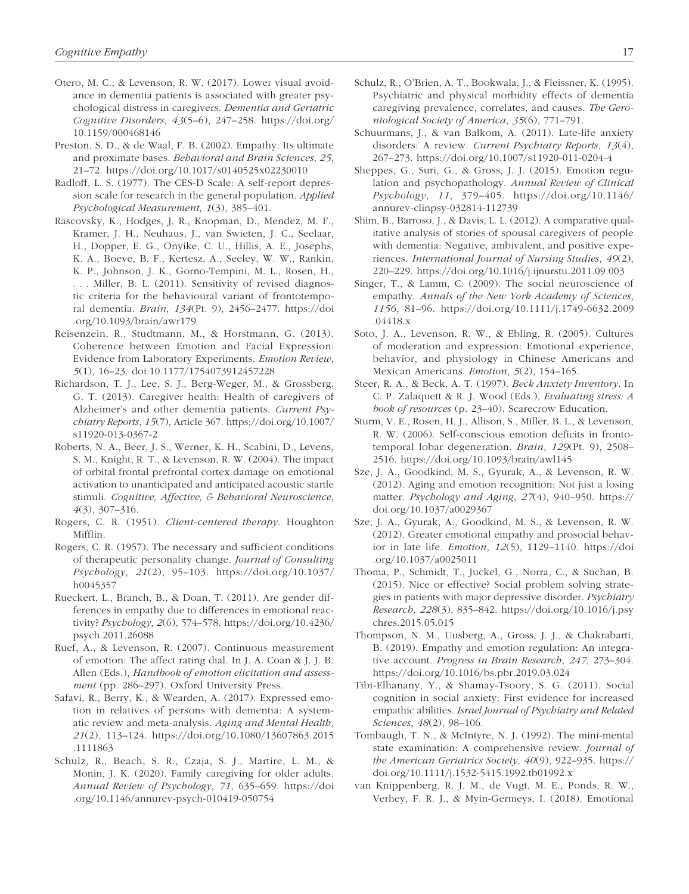- Otero, M. C., & Levenson, R. W. (2017). Lower visual avoidance in dementia patients is associated with greater psychological distress in caregivers. *Dementia and Geriatric Cognitive Disorders*, *43*(5–6), 247–258. [https://doi.org/](https://doi.org/10.1159/000468146) [10.1159/000468146](https://doi.org/10.1159/000468146)
- Preston, S. D., & de Waal, F. B. (2002). Empathy: Its ultimate and proximate bases. *Behavioral and Brain Sciences*, *25*, 21–72. <https://doi.org/10.1017/s0140525x02230010>
- Radloff, L. S. (1977). The CES-D Scale: A self-report depression scale for research in the general population. *Applied Psychological Measurement*, *1*(3), 385–401.
- Rascovsky, K., Hodges, J. R., Knopman, D., Mendez, M. F., Kramer, J. H., Neuhaus, J., van Swieten, J. C., Seelaar, H., Dopper, E. G., Onyike, C. U., Hillis, A. E., Josephs, K. A., Boeve, B. F., Kertesz, A., Seeley, W. W., Rankin, K. P., Johnson, J. K., Gorno-Tempini, M. L., Rosen, H., . . . Miller, B. L. (2011). Sensitivity of revised diagnostic criteria for the behavioural variant of frontotemporal dementia. *Brain*, *134*(Pt. 9), 2456–2477. [https://doi](https://doi.org/10.1093/brain/awr179) [.org/10.1093/brain/awr179](https://doi.org/10.1093/brain/awr179)
- Reisenzein, R., Studtmann, M., & Horstmann, G. (2013). Coherence between Emotion and Facial Expression: Evidence from Laboratory Experiments. *Emotion Review*, *5*(1), 16–23. doi:10.1177/1754073912457228
- Richardson, T. J., Lee, S. J., Berg-Weger, M., & Grossberg, G. T. (2013). Caregiver health: Health of caregivers of Alzheimer's and other dementia patients. *Current Psychiatry Reports*, *15*(7), Article 367. [https://doi.org/10.1007/](https://doi.org/10.1007/s11920-013-0367-2) [s11920-013-0367-2](https://doi.org/10.1007/s11920-013-0367-2)
- Roberts, N. A., Beer, J. S., Werner, K. H., Scabini, D., Levens, S. M., Knight, R. T., & Levenson, R. W. (2004). The impact of orbital frontal prefrontal cortex damage on emotional activation to unanticipated and anticipated acoustic startle stimuli. *Cognitive, Affective, & Behavioral Neuroscience*, *4*(3), 307–316.
- Rogers, C. R. (1951). *Client-centered therapy*. Houghton Mifflin.
- Rogers, C. R. (1957). The necessary and sufficient conditions of therapeutic personality change. *Journal of Consulting Psychology*, *21*(2), 95–103. [https://doi.org/10.1037/](https://doi.org/10.1037/h0045357) [h0045357](https://doi.org/10.1037/h0045357)
- Rueckert, L., Branch, B., & Doan, T. (2011). Are gender differences in empathy due to differences in emotional reactivity? *Psychology*, *2*(6), 574–578. [https://doi.org/10.4236/](https://doi.org/10.4236/psych.2011.26088) [psych.2011.26088](https://doi.org/10.4236/psych.2011.26088)
- Ruef, A., & Levenson, R. (2007). Continuous measurement of emotion: The affect rating dial. In J. A. Coan & J. J. B. Allen (Eds.), *Handbook of emotion elicitation and assessment* (pp. 286–297). Oxford University Press.
- Safavi, R., Berry, K., & Wearden, A. (2017). Expressed emotion in relatives of persons with dementia: A systematic review and meta-analysis. *Aging and Mental Health*, *21*(2), 113–124. [https://doi.org/10.1080/13607863.2015](https://doi.org/10.1080/13607863.2015.1111863) [.1111863](https://doi.org/10.1080/13607863.2015.1111863)
- Schulz, R., Beach, S. R., Czaja, S. J., Martire, L. M., & Monin, J. K. (2020). Family caregiving for older adults. *Annual Review of Psychology*, *71*, 635–659. [https://doi](https://doi.org/10.1146/annurev-psych-010419-050754) [.org/10.1146/annurev-psych-010419-050754](https://doi.org/10.1146/annurev-psych-010419-050754)
- Schulz, R., O'Brien, A. T., Bookwala, J., & Fleissner, K. (1995). Psychiatric and physical morbidity effects of dementia caregiving prevalence, correlates, and causes. *The Gerontological Society of America*, *35*(6), 771–791.
- Schuurmans, J., & van Balkom, A. (2011). Late-life anxiety disorders: A review. *Current Psychiatry Reports*, *13*(4), 267–273. <https://doi.org/10.1007/s11920-011-0204-4>
- Sheppes, G., Suri, G., & Gross, J. J. (2015). Emotion regulation and psychopathology. *Annual Review of Clinical Psychology*, *11*, 379–405. [https://doi.org/10.1146/](https://doi.org/10.1146/annurev-clinpsy-032814-112739) [annurev-clinpsy-032814-112739](https://doi.org/10.1146/annurev-clinpsy-032814-112739)
- Shim, B., Barroso, J., & Davis, L. L. (2012). A comparative qualitative analysis of stories of spousal caregivers of people with dementia: Negative, ambivalent, and positive experiences. *International Journal of Nursing Studies*, *49*(2), 220–229. <https://doi.org/10.1016/j.ijnurstu.2011.09.003>
- Singer, T., & Lamm, C. (2009). The social neuroscience of empathy. *Annals of the New York Academy of Sciences*, *1156*, 81–96. [https://doi.org/10.1111/j.1749-6632.2009](https://doi.org/10.1111/j.1749-6632.2009.04418.x) [.04418.x](https://doi.org/10.1111/j.1749-6632.2009.04418.x)
- Soto, J. A., Levenson, R. W., & Ebling, R. (2005). Cultures of moderation and expression: Emotional experience, behavior, and physiology in Chinese Americans and Mexican Americans. *Emotion*, *5*(2), 154–165.
- Steer, R. A., & Beck, A. T. (1997). *Beck Anxiety Inventory*. In C. P. Zalaquett & R. J. Wood (Eds.), *Evaluating stress: A book of resources* (p. 23–40). Scarecrow Education.
- Sturm, V. E., Rosen, H. J., Allison, S., Miller, B. L., & Levenson, R. W. (2006). Self-conscious emotion deficits in frontotemporal lobar degeneration. *Brain*, *129*(Pt. 9), 2508– 2516. <https://doi.org/10.1093/brain/awl145>
- Sze, J. A., Goodkind, M. S., Gyurak, A., & Levenson, R. W. (2012). Aging and emotion recognition: Not just a losing matter. *Psychology and Aging*, *27*(4), 940–950. [https://](https://doi.org/10.1037/a0029367) [doi.org/10.1037/a0029367](https://doi.org/10.1037/a0029367)
- Sze, J. A., Gyurak, A., Goodkind, M. S., & Levenson, R. W. (2012). Greater emotional empathy and prosocial behavior in late life. *Emotion*, *12*(5), 1129–1140. [https://doi](https://doi.org/10.1037/a0025011) [.org/10.1037/a0025011](https://doi.org/10.1037/a0025011)
- Thoma, P., Schmidt, T., Juckel, G., Norra, C., & Suchan, B. (2015). Nice or effective? Social problem solving strategies in patients with major depressive disorder. *Psychiatry Research*, *228*(3), 835–842. [https://doi.org/10.1016/j.psy](https://doi.org/10.1016/j.psychres.2015.05.015) [chres.2015.05.015](https://doi.org/10.1016/j.psychres.2015.05.015)
- Thompson, N. M., Uusberg, A., Gross, J. J., & Chakrabarti, B. (2019). Empathy and emotion regulation: An integrative account. *Progress in Brain Research*, *247*, 273–304. <https://doi.org/10.1016/bs.pbr.2019.03.024>
- Tibi-Elhanany, Y., & Shamay-Tsoory, S. G. (2011). Social cognition in social anxiety: First evidence for increased empathic abilities. *Israel Journal of Psychiatry and Related Sciences*, *48*(2), 98–106.
- Tombaugh, T. N., & McIntyre, N. J. (1992). The mini-mental state examination: A comprehensive review. *Journal of the American Geriatrics Society*, *40*(9), 922–935. [https://](https://doi.org/10.1111/j.1532-5415.1992.tb01992.x) [doi.org/10.1111/j.1532-5415.1992.tb01992.x](https://doi.org/10.1111/j.1532-5415.1992.tb01992.x)
- van Knippenberg, R. J. M., de Vugt, M. E., Ponds, R. W., Verhey, F. R. J., & Myin-Germeys, I. (2018). Emotional